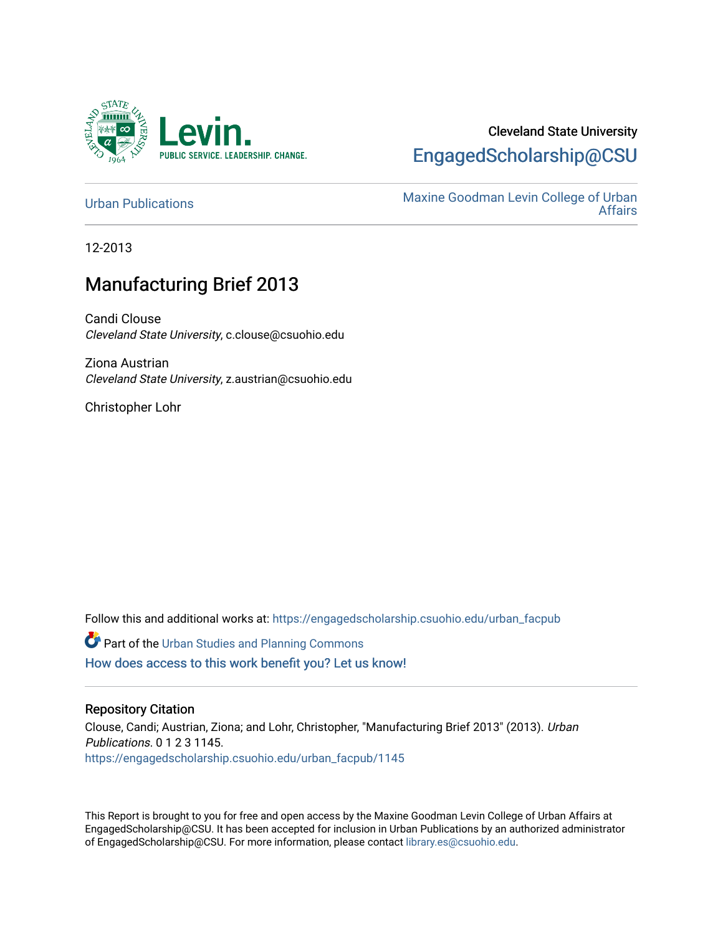

# Cleveland State University [EngagedScholarship@CSU](https://engagedscholarship.csuohio.edu/)

[Urban Publications](https://engagedscholarship.csuohio.edu/urban_facpub) Maxine Goodman Levin College of Urban [Affairs](https://engagedscholarship.csuohio.edu/urban) 

12-2013

# Manufacturing Brief 2013

Candi Clouse Cleveland State University, c.clouse@csuohio.edu

Ziona Austrian Cleveland State University, z.austrian@csuohio.edu

Christopher Lohr

Follow this and additional works at: [https://engagedscholarship.csuohio.edu/urban\\_facpub](https://engagedscholarship.csuohio.edu/urban_facpub?utm_source=engagedscholarship.csuohio.edu%2Furban_facpub%2F1145&utm_medium=PDF&utm_campaign=PDFCoverPages) 

**Part of the [Urban Studies and Planning Commons](http://network.bepress.com/hgg/discipline/436?utm_source=engagedscholarship.csuohio.edu%2Furban_facpub%2F1145&utm_medium=PDF&utm_campaign=PDFCoverPages)** [How does access to this work benefit you? Let us know!](http://library.csuohio.edu/engaged/)

### Repository Citation

Clouse, Candi; Austrian, Ziona; and Lohr, Christopher, "Manufacturing Brief 2013" (2013). Urban Publications. 0 1 2 3 1145. [https://engagedscholarship.csuohio.edu/urban\\_facpub/1145](https://engagedscholarship.csuohio.edu/urban_facpub/1145?utm_source=engagedscholarship.csuohio.edu%2Furban_facpub%2F1145&utm_medium=PDF&utm_campaign=PDFCoverPages) 

This Report is brought to you for free and open access by the Maxine Goodman Levin College of Urban Affairs at EngagedScholarship@CSU. It has been accepted for inclusion in Urban Publications by an authorized administrator of EngagedScholarship@CSU. For more information, please contact [library.es@csuohio.edu.](mailto:library.es@csuohio.edu)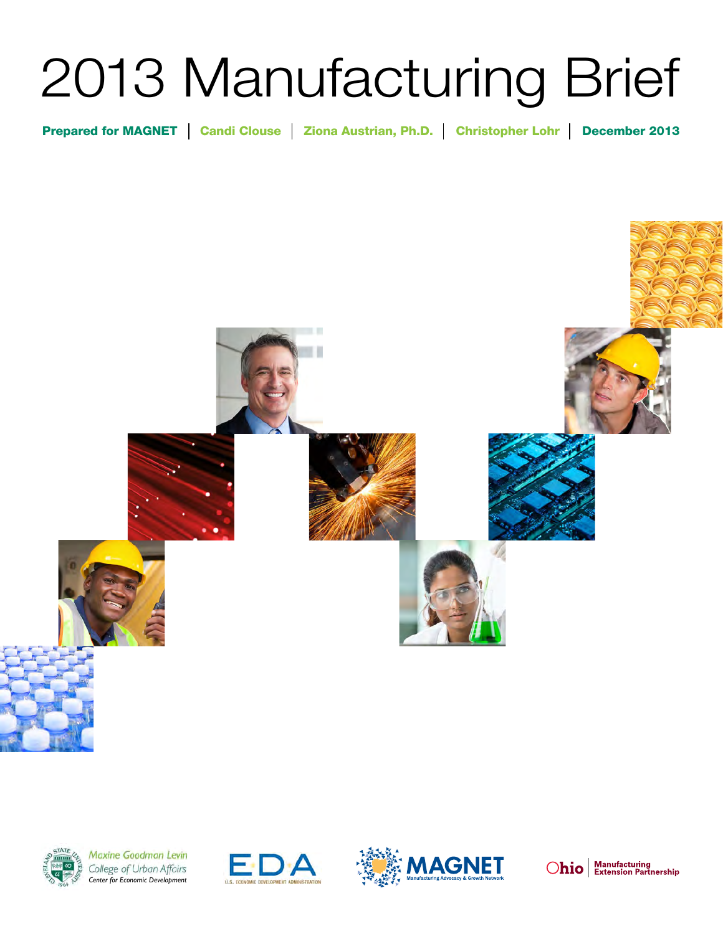# 2013 Manufacturing Brief

Prepared for MAGNET | Candi Clouse | Ziona Austrian, Ph.D. | Christopher Lohr | December 2013





Maxine Goodman Levin College of Urban Affairs *Center for Economic Development*





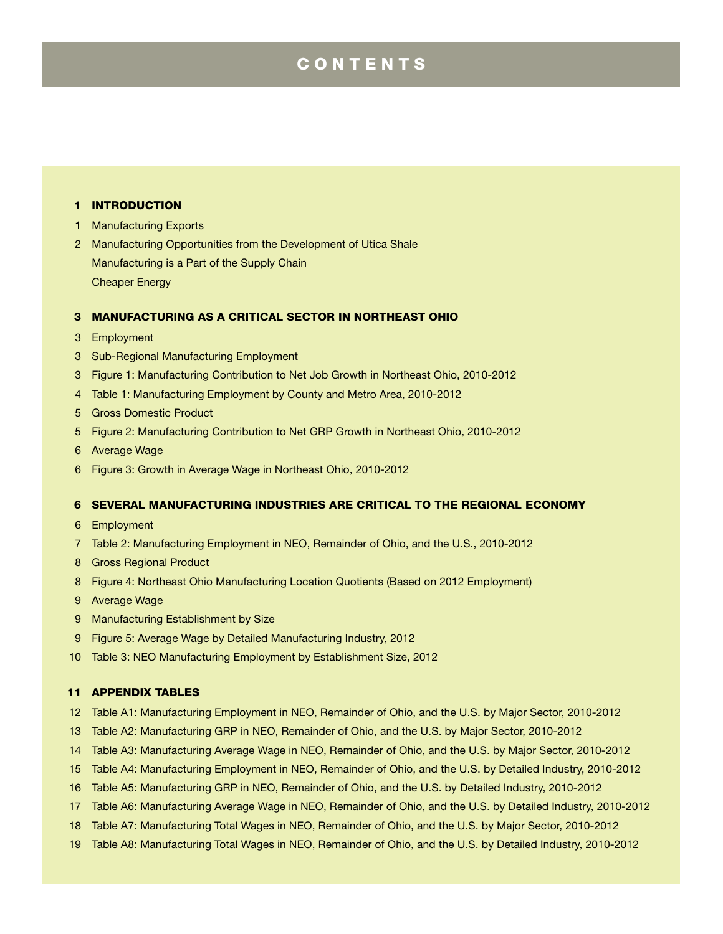# **CONTENTS**

#### Introduction

- Manufacturing Exports
- Manufacturing Opportunities from the Development of Utica Shale Manufacturing is a Part of the Supply Chain Cheaper Energy

#### Manufacturing as a Critical Sector in Northeast Ohio

- Employment
- Sub-Regional Manufacturing Employment
- Figure 1: Manufacturing Contribution to Net Job Growth in Northeast Ohio, 2010-2012
- Table 1: Manufacturing Employment by County and Metro Area, 2010-2012
- Gross Domestic Product
- Figure 2: Manufacturing Contribution to Net GRP Growth in Northeast Ohio, 2010-2012
- Average Wage
- Figure 3: Growth in Average Wage in Northeast Ohio, 2010-2012

#### 6 Several Manufacturing Industries are Critical to the Regional Economy

- Employment
- Table 2: Manufacturing Employment in NEO, Remainder of Ohio, and the U.S., 2010-2012
- Gross Regional Product
- Figure 4: Northeast Ohio Manufacturing Location Quotients (Based on 2012 Employment)
- Average Wage
- Manufacturing Establishment by Size
- Figure 5: Average Wage by Detailed Manufacturing Industry, 2012
- Table 3: NEO Manufacturing Employment by Establishment Size, 2012

#### Appendix Tables

- Table A1: Manufacturing Employment in NEO, Remainder of Ohio, and the U.S. by Major Sector, 2010-2012
- Table A2: Manufacturing GRP in NEO, Remainder of Ohio, and the U.S. by Major Sector, 2010-2012
- Table A3: Manufacturing Average Wage in NEO, Remainder of Ohio, and the U.S. by Major Sector, 2010-2012
- Table A4: Manufacturing Employment in NEO, Remainder of Ohio, and the U.S. by Detailed Industry, 2010-2012
- Table A5: Manufacturing GRP in NEO, Remainder of Ohio, and the U.S. by Detailed Industry, 2010-2012
- Table A6: Manufacturing Average Wage in NEO, Remainder of Ohio, and the U.S. by Detailed Industry, 2010-2012
- Table A7: Manufacturing Total Wages in NEO, Remainder of Ohio, and the U.S. by Major Sector, 2010-2012
- Table A8: Manufacturing Total Wages in NEO, Remainder of Ohio, and the U.S. by Detailed Industry, 2010-2012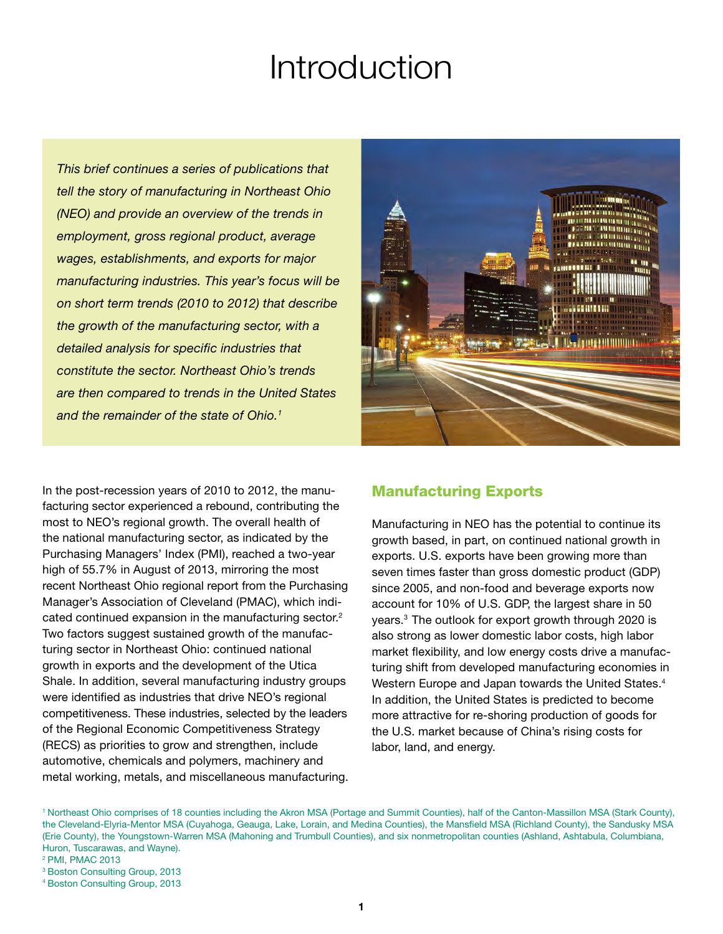# Introduction

*This brief continues a series of publications that tell the story of manufacturing in Northeast Ohio (NEO) and provide an overview of the trends in employment, gross regional product, average wages, establishments, and exports for major manufacturing industries. This year's focus will be on short term trends (2010 to 2012) that describe the growth of the manufacturing sector, with a detailed analysis for specific industries that constitute the sector. Northeast Ohio's trends are then compared to trends in the United States and the remainder of the state of Ohio.1*



In the post-recession years of 2010 to 2012, the manufacturing sector experienced a rebound, contributing the most to NEO's regional growth. The overall health of the national manufacturing sector, as indicated by the Purchasing Managers' Index (PMI), reached a two-year high of 55.7% in August of 2013, mirroring the most recent Northeast Ohio regional report from the Purchasing Manager's Association of Cleveland (PMAC), which indicated continued expansion in the manufacturing sector.<sup>2</sup> Two factors suggest sustained growth of the manufacturing sector in Northeast Ohio: continued national growth in exports and the development of the Utica Shale. In addition, several manufacturing industry groups were identified as industries that drive NEO's regional competitiveness. These industries, selected by the leaders of the Regional Economic Competitiveness Strategy (RECS) as priorities to grow and strengthen, include automotive, chemicals and polymers, machinery and metal working, metals, and miscellaneous manufacturing.

#### Manufacturing Exports

Manufacturing in NEO has the potential to continue its growth based, in part, on continued national growth in exports. U.S. exports have been growing more than seven times faster than gross domestic product (GDP) since 2005, and non-food and beverage exports now account for 10% of U.S. GDP, the largest share in 50 years.3 The outlook for export growth through 2020 is also strong as lower domestic labor costs, high labor market flexibility, and low energy costs drive a manufacturing shift from developed manufacturing economies in Western Europe and Japan towards the United States.<sup>4</sup> In addition, the United States is predicted to become more attractive for re-shoring production of goods for the U.S. market because of China's rising costs for labor, land, and energy.

1 Northeast Ohio comprises of 18 counties including the Akron MSA (Portage and Summit Counties), half of the Canton-Massillon MSA (Stark County), the Cleveland-Elyria-Mentor MSA (Cuyahoga, Geauga, Lake, Lorain, and Medina Counties), the Mansfield MSA (Richland County), the Sandusky MSA (Erie County), the Youngstown-Warren MSA (Mahoning and Trumbull Counties), and six nonmetropolitan counties (Ashland, Ashtabula, Columbiana, Huron, Tuscarawas, and Wayne).

<sup>2</sup> PMI, PMAC 2013

<sup>3</sup> Boston Consulting Group, 2013

<sup>4</sup> Boston Consulting Group, 2013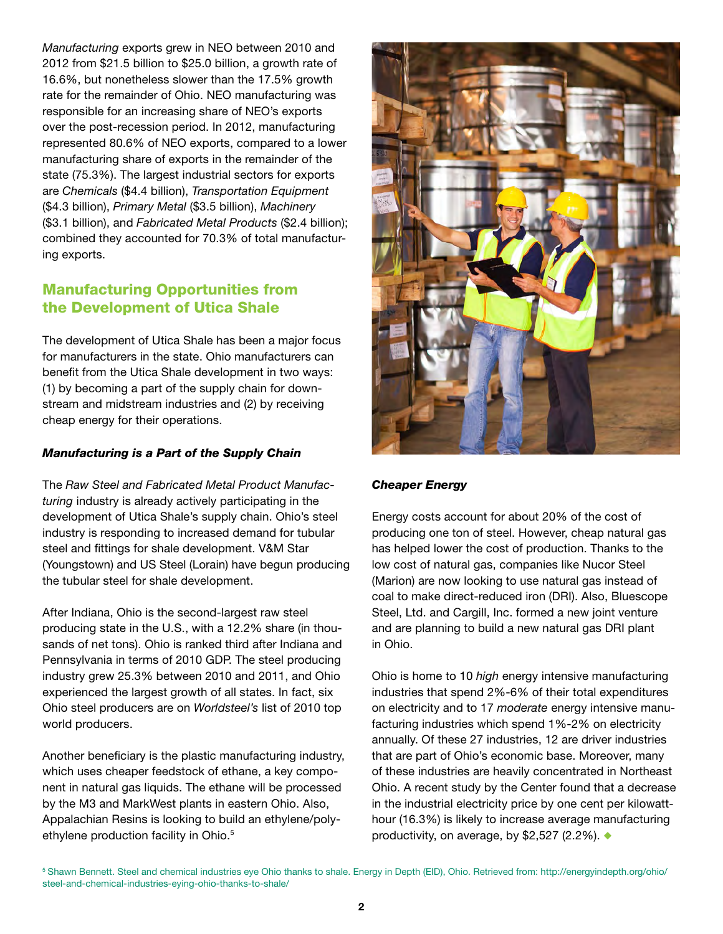*Manufacturing* exports grew in NEO between 2010 and 2012 from \$21.5 billion to \$25.0 billion, a growth rate of 16.6%, but nonetheless slower than the 17.5% growth rate for the remainder of Ohio. NEO manufacturing was responsible for an increasing share of NEO's exports over the post-recession period. In 2012, manufacturing represented 80.6% of NEO exports, compared to a lower manufacturing share of exports in the remainder of the state (75.3%). The largest industrial sectors for exports are *Chemicals* (\$4.4 billion), *Transportation Equipment* (\$4.3 billion), *Primary Metal* (\$3.5 billion), *Machinery* (\$3.1 billion), and *Fabricated Metal Products* (\$2.4 billion); combined they accounted for 70.3% of total manufacturing exports.

# Manufacturing Opportunities from the Development of Utica Shale

The development of Utica Shale has been a major focus for manufacturers in the state. Ohio manufacturers can benefit from the Utica Shale development in two ways: (1) by becoming a part of the supply chain for downstream and midstream industries and (2) by receiving cheap energy for their operations.

#### *Manufacturing is a Part of the Supply Chain*

The *Raw Steel and Fabricated Metal Product Manufacturing* industry is already actively participating in the development of Utica Shale's supply chain. Ohio's steel industry is responding to increased demand for tubular steel and fittings for shale development. V&M Star (Youngstown) and US Steel (Lorain) have begun producing the tubular steel for shale development.

After Indiana, Ohio is the second-largest raw steel producing state in the U.S., with a 12.2% share (in thousands of net tons). Ohio is ranked third after Indiana and Pennsylvania in terms of 2010 GDP. The steel producing industry grew 25.3% between 2010 and 2011, and Ohio experienced the largest growth of all states. In fact, six Ohio steel producers are on *Worldsteel's* list of 2010 top world producers.

Another beneficiary is the plastic manufacturing industry, which uses cheaper feedstock of ethane, a key component in natural gas liquids. The ethane will be processed by the M3 and MarkWest plants in eastern Ohio. Also, Appalachian Resins is looking to build an ethylene/polyethylene production facility in Ohio.<sup>5</sup>



#### *Cheaper Energy*

Energy costs account for about 20% of the cost of producing one ton of steel. However, cheap natural gas has helped lower the cost of production. Thanks to the low cost of natural gas, companies like Nucor Steel (Marion) are now looking to use natural gas instead of coal to make direct-reduced iron (DRI). Also, Bluescope Steel, Ltd. and Cargill, Inc. formed a new joint venture and are planning to build a new natural gas DRI plant in Ohio.

Ohio is home to 10 *high* energy intensive manufacturing industries that spend 2%-6% of their total expenditures on electricity and to 17 *moderate* energy intensive manufacturing industries which spend 1%-2% on electricity annually. Of these 27 industries, 12 are driver industries that are part of Ohio's economic base. Moreover, many of these industries are heavily concentrated in Northeast Ohio. A recent study by the Center found that a decrease in the industrial electricity price by one cent per kilowatthour (16.3%) is likely to increase average manufacturing productivity, on average, by \$2,527 (2.2%).  $\blacklozenge$ 

5 Shawn Bennett. Steel and chemical industries eye Ohio thanks to shale. Energy in Depth (EID), Ohio. Retrieved from: http://energyindepth.org/ohio/ steel-and-chemical-industries-eying-ohio-thanks-to-shale/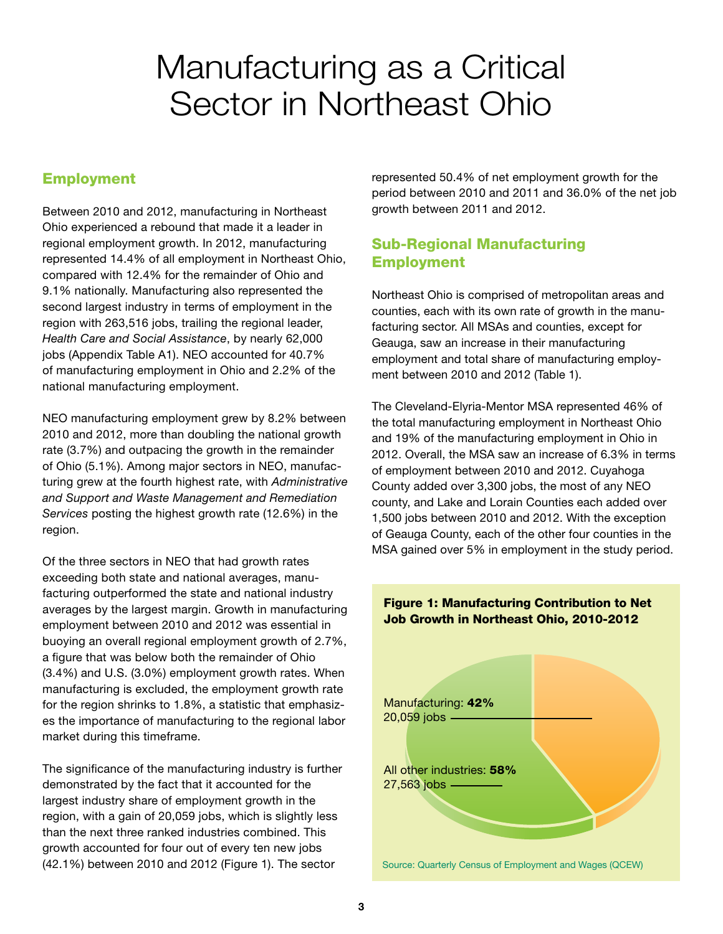# Manufacturing as a Critical Sector in Northeast Ohio

# Employment

Between 2010 and 2012, manufacturing in Northeast Ohio experienced a rebound that made it a leader in regional employment growth. In 2012, manufacturing represented 14.4% of all employment in Northeast Ohio, compared with 12.4% for the remainder of Ohio and 9.1% nationally. Manufacturing also represented the second largest industry in terms of employment in the region with 263,516 jobs, trailing the regional leader, *Health Care and Social Assistance*, by nearly 62,000 jobs (Appendix Table A1). NEO accounted for 40.7% of manufacturing employment in Ohio and 2.2% of the national manufacturing employment.

NEO manufacturing employment grew by 8.2% between 2010 and 2012, more than doubling the national growth rate (3.7%) and outpacing the growth in the remainder of Ohio (5.1%). Among major sectors in NEO, manufacturing grew at the fourth highest rate, with *Administrative and Support and Waste Management and Remediation Services* posting the highest growth rate (12.6%) in the region.

Of the three sectors in NEO that had growth rates exceeding both state and national averages, manufacturing outperformed the state and national industry averages by the largest margin. Growth in manufacturing employment between 2010 and 2012 was essential in buoying an overall regional employment growth of 2.7%, a figure that was below both the remainder of Ohio (3.4%) and U.S. (3.0%) employment growth rates. When manufacturing is excluded, the employment growth rate for the region shrinks to 1.8%, a statistic that emphasizes the importance of manufacturing to the regional labor market during this timeframe.

The significance of the manufacturing industry is further demonstrated by the fact that it accounted for the largest industry share of employment growth in the region, with a gain of 20,059 jobs, which is slightly less than the next three ranked industries combined. This growth accounted for four out of every ten new jobs (42.1%) between 2010 and 2012 (Figure 1). The sector

represented 50.4% of net employment growth for the period between 2010 and 2011 and 36.0% of the net job growth between 2011 and 2012.

# Sub-Regional Manufacturing Employment

Northeast Ohio is comprised of metropolitan areas and counties, each with its own rate of growth in the manufacturing sector. All MSAs and counties, except for Geauga, saw an increase in their manufacturing employment and total share of manufacturing employment between 2010 and 2012 (Table 1).

The Cleveland-Elyria-Mentor MSA represented 46% of the total manufacturing employment in Northeast Ohio and 19% of the manufacturing employment in Ohio in 2012. Overall, the MSA saw an increase of 6.3% in terms of employment between 2010 and 2012. Cuyahoga County added over 3,300 jobs, the most of any NEO county, and Lake and Lorain Counties each added over 1,500 jobs between 2010 and 2012. With the exception of Geauga County, each of the other four counties in the MSA gained over 5% in employment in the study period.

#### Figure 1: Manufacturing Contribution to Net Job Growth in Northeast Ohio, 2010-2012

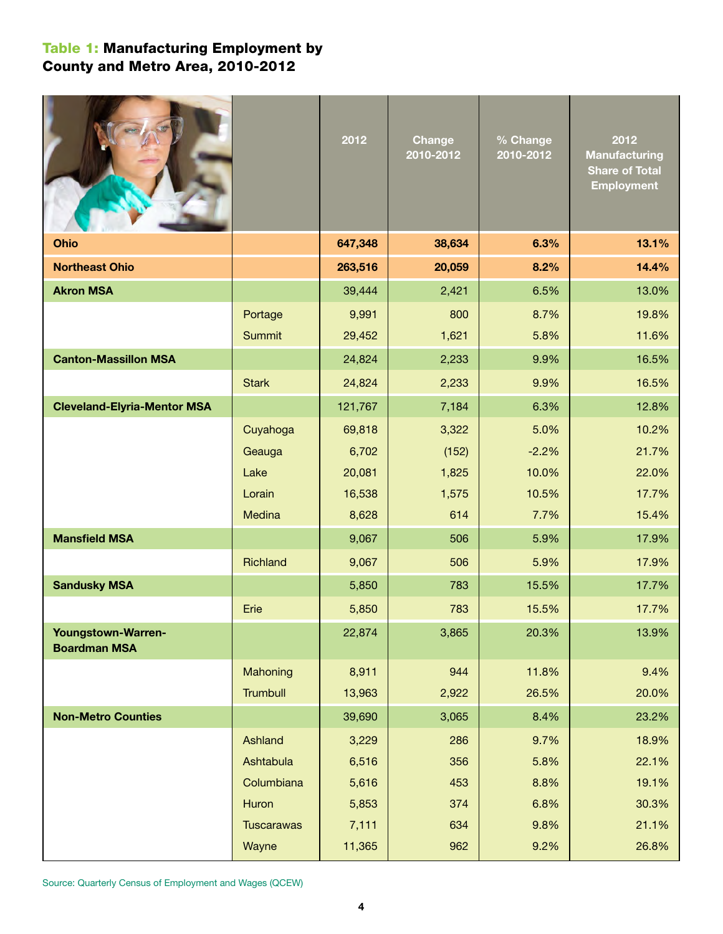# Table 1: Manufacturing Employment by County and Metro Area, 2010-2012

|                                                  |                   | 2012    | <b>Change</b><br>2010-2012 | % Change<br>2010-2012 | 2012<br><b>Manufacturing</b><br><b>Share of Total</b><br><b>Employment</b> |
|--------------------------------------------------|-------------------|---------|----------------------------|-----------------------|----------------------------------------------------------------------------|
| Ohio                                             |                   | 647,348 | 38,634                     | 6.3%                  | 13.1%                                                                      |
| <b>Northeast Ohio</b>                            |                   | 263,516 | 20,059                     | 8.2%                  | 14.4%                                                                      |
| <b>Akron MSA</b>                                 |                   | 39,444  | 2,421                      | 6.5%                  | 13.0%                                                                      |
|                                                  | Portage           | 9,991   | 800                        | 8.7%                  | 19.8%                                                                      |
|                                                  | <b>Summit</b>     | 29,452  | 1,621                      | 5.8%                  | 11.6%                                                                      |
| <b>Canton-Massillon MSA</b>                      |                   | 24,824  | 2,233                      | 9.9%                  | 16.5%                                                                      |
|                                                  | <b>Stark</b>      | 24,824  | 2,233                      | 9.9%                  | 16.5%                                                                      |
| <b>Cleveland-Elyria-Mentor MSA</b>               |                   | 121,767 | 7,184                      | 6.3%                  | 12.8%                                                                      |
|                                                  | Cuyahoga          | 69,818  | 3,322                      | 5.0%                  | 10.2%                                                                      |
|                                                  | Geauga            | 6,702   | (152)                      | $-2.2%$               | 21.7%                                                                      |
|                                                  | Lake              | 20,081  | 1,825                      | 10.0%                 | 22.0%                                                                      |
|                                                  | Lorain            | 16,538  | 1,575                      | 10.5%                 | 17.7%                                                                      |
|                                                  | Medina            | 8,628   | 614                        | 7.7%                  | 15.4%                                                                      |
| <b>Mansfield MSA</b>                             |                   | 9,067   | 506                        | 5.9%                  | 17.9%                                                                      |
|                                                  | Richland          | 9,067   | 506                        | 5.9%                  | 17.9%                                                                      |
| <b>Sandusky MSA</b>                              |                   | 5,850   | 783                        | 15.5%                 | 17.7%                                                                      |
|                                                  | Erie              | 5,850   | 783                        | 15.5%                 | 17.7%                                                                      |
| <b>Youngstown-Warren-</b><br><b>Boardman MSA</b> |                   | 22,874  | 3,865                      | 20.3%                 | 13.9%                                                                      |
|                                                  | Mahoning          | 8,911   | 944                        | 11.8%                 | 9.4%                                                                       |
|                                                  | <b>Trumbull</b>   | 13,963  | 2,922                      | 26.5%                 | 20.0%                                                                      |
| <b>Non-Metro Counties</b>                        |                   | 39,690  | 3,065                      | 8.4%                  | 23.2%                                                                      |
|                                                  | Ashland           | 3,229   | 286                        | 9.7%                  | 18.9%                                                                      |
|                                                  | Ashtabula         | 6,516   | 356                        | 5.8%                  | 22.1%                                                                      |
|                                                  | Columbiana        | 5,616   | 453                        | 8.8%                  | 19.1%                                                                      |
|                                                  | Huron             | 5,853   | 374                        | 6.8%                  | 30.3%                                                                      |
|                                                  | <b>Tuscarawas</b> | 7,111   | 634                        | 9.8%                  | 21.1%                                                                      |
|                                                  | Wayne             | 11,365  | 962                        | 9.2%                  | 26.8%                                                                      |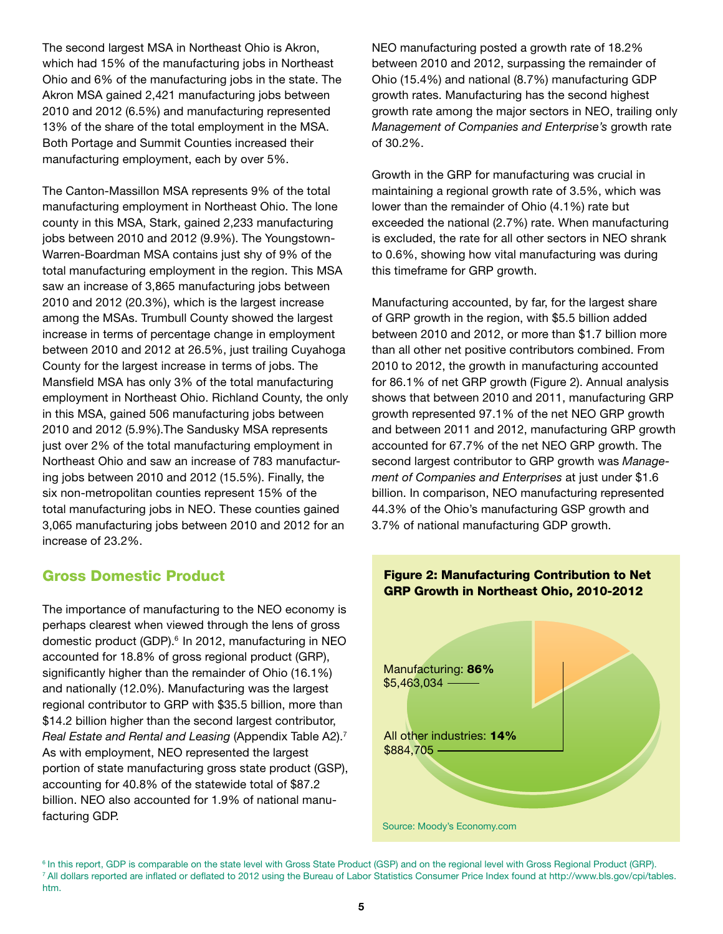The second largest MSA in Northeast Ohio is Akron, which had 15% of the manufacturing jobs in Northeast Ohio and 6% of the manufacturing jobs in the state. The Akron MSA gained 2,421 manufacturing jobs between 2010 and 2012 (6.5%) and manufacturing represented 13% of the share of the total employment in the MSA. Both Portage and Summit Counties increased their manufacturing employment, each by over 5%.

The Canton-Massillon MSA represents 9% of the total manufacturing employment in Northeast Ohio. The lone county in this MSA, Stark, gained 2,233 manufacturing jobs between 2010 and 2012 (9.9%). The Youngstown-Warren-Boardman MSA contains just shy of 9% of the total manufacturing employment in the region. This MSA saw an increase of 3,865 manufacturing jobs between 2010 and 2012 (20.3%), which is the largest increase among the MSAs. Trumbull County showed the largest increase in terms of percentage change in employment between 2010 and 2012 at 26.5%, just trailing Cuyahoga County for the largest increase in terms of jobs. The Mansfield MSA has only 3% of the total manufacturing employment in Northeast Ohio. Richland County, the only in this MSA, gained 506 manufacturing jobs between 2010 and 2012 (5.9%).The Sandusky MSA represents just over 2% of the total manufacturing employment in Northeast Ohio and saw an increase of 783 manufacturing jobs between 2010 and 2012 (15.5%). Finally, the six non-metropolitan counties represent 15% of the total manufacturing jobs in NEO. These counties gained 3,065 manufacturing jobs between 2010 and 2012 for an increase of 23.2%.

# Gross Domestic Product

The importance of manufacturing to the NEO economy is perhaps clearest when viewed through the lens of gross domestic product (GDP).<sup>6</sup> In 2012, manufacturing in NEO accounted for 18.8% of gross regional product (GRP), significantly higher than the remainder of Ohio (16.1%) and nationally (12.0%). Manufacturing was the largest regional contributor to GRP with \$35.5 billion, more than \$14.2 billion higher than the second largest contributor, *Real Estate and Rental and Leasing* (Appendix Table A2).7 As with employment, NEO represented the largest portion of state manufacturing gross state product (GSP), accounting for 40.8% of the statewide total of \$87.2 billion. NEO also accounted for 1.9% of national manufacturing GDP.

NEO manufacturing posted a growth rate of 18.2% between 2010 and 2012, surpassing the remainder of Ohio (15.4%) and national (8.7%) manufacturing GDP growth rates. Manufacturing has the second highest growth rate among the major sectors in NEO, trailing only *Management of Companies and Enterprise's* growth rate of 30.2%.

Growth in the GRP for manufacturing was crucial in maintaining a regional growth rate of 3.5%, which was lower than the remainder of Ohio (4.1%) rate but exceeded the national (2.7%) rate. When manufacturing is excluded, the rate for all other sectors in NEO shrank to 0.6%, showing how vital manufacturing was during this timeframe for GRP growth.

than all other net positive contributors combined. From 2010 to 2012, the growth in manufacturing accounted Manufacturing accounted, by far, for the largest share of GRP growth in the region, with \$5.5 billion added between 2010 and 2012, or more than \$1.7 billion more for 86.1% of net GRP growth (Figure 2). Annual analysis shows that between 2010 and 2011, manufacturing GRP growth represented 97.1% of the net NEO GRP growth and between 2011 and 2012, manufacturing GRP growth accounted for 67.7% of the net NEO GRP growth. The second largest contributor to GRP growth was *Management of Companies and Enterprises* at just under \$1.6 billion. In comparison, NEO manufacturing represented 44.3% of the Ohio's manufacturing GSP growth and 3.7% of national manufacturing GDP growth.



#### <sup>6</sup> In this report, GDP is comparable on the state level with Gross State Product (GSP) and on the regional level with Gross Regional Product (GRP). 7 All dollars reported are inflated or deflated to 2012 using the Bureau of Labor Statistics Consumer Price Index found at http://www.bls.gov/cpi/tables. htm.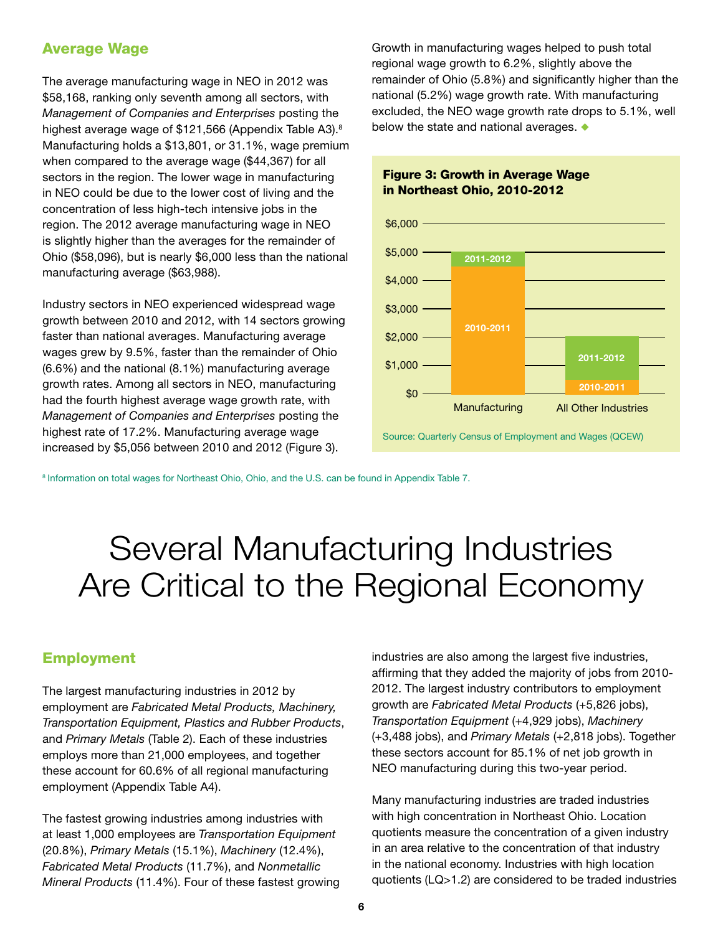### Average Wage

The average manufacturing wage in NEO in 2012 was \$58,168, ranking only seventh among all sectors, with *Management of Companies and Enterprises* posting the highest average wage of \$121,566 (Appendix Table A3).<sup>8</sup> Manufacturing holds a \$13,801, or 31.1%, wage premium when compared to the average wage (\$44,367) for all sectors in the region. The lower wage in manufacturing in NEO could be due to the lower cost of living and the concentration of less high-tech intensive jobs in the region. The 2012 average manufacturing wage in NEO is slightly higher than the averages for the remainder of Ohio (\$58,096), but is nearly \$6,000 less than the national manufacturing average (\$63,988).

Industry sectors in NEO experienced widespread wage growth between 2010 and 2012, with 14 sectors growing faster than national averages. Manufacturing average wages grew by 9.5%, faster than the remainder of Ohio (6.6%) and the national (8.1%) manufacturing average growth rates. Among all sectors in NEO, manufacturing had the fourth highest average wage growth rate, with *Management of Companies and Enterprises* posting the highest rate of 17.2%. Manufacturing average wage increased by \$5,056 between 2010 and 2012 (Figure 3).

Growth in manufacturing wages helped to push total regional wage growth to 6.2%, slightly above the remainder of Ohio (5.8%) and significantly higher than the national (5.2%) wage growth rate. With manufacturing excluded, the NEO wage growth rate drops to 5.1%, well below the state and national averages.  $\bullet$ 

#### Figure 3: Growth in Average Wage in Northeast Ohio, 2010-2012



8 Information on total wages for Northeast Ohio, Ohio, and the U.S. can be found in Appendix Table 7.

# Several Manufacturing Industries Are Critical to the Regional Economy

#### Employment

The largest manufacturing industries in 2012 by employment are *Fabricated Metal Products, Machinery, Transportation Equipment, Plastics and Rubber Products*, and *Primary Metals* (Table 2). Each of these industries employs more than 21,000 employees, and together these account for 60.6% of all regional manufacturing employment (Appendix Table A4).

The fastest growing industries among industries with at least 1,000 employees are *Transportation Equipment* (20.8%), *Primary Metals* (15.1%), *Machinery* (12.4%), *Fabricated Metal Products* (11.7%), and *Nonmetallic Mineral Products* (11.4%). Four of these fastest growing industries are also among the largest five industries, affirming that they added the majority of jobs from 2010- 2012. The largest industry contributors to employment growth are *Fabricated Metal Products* (+5,826 jobs), *Transportation Equipment* (+4,929 jobs), *Machinery*  (+3,488 jobs), and *Primary Metals* (+2,818 jobs). Together these sectors account for 85.1% of net job growth in NEO manufacturing during this two-year period.

Many manufacturing industries are traded industries with high concentration in Northeast Ohio. Location quotients measure the concentration of a given industry in an area relative to the concentration of that industry in the national economy. Industries with high location quotients (LQ>1.2) are considered to be traded industries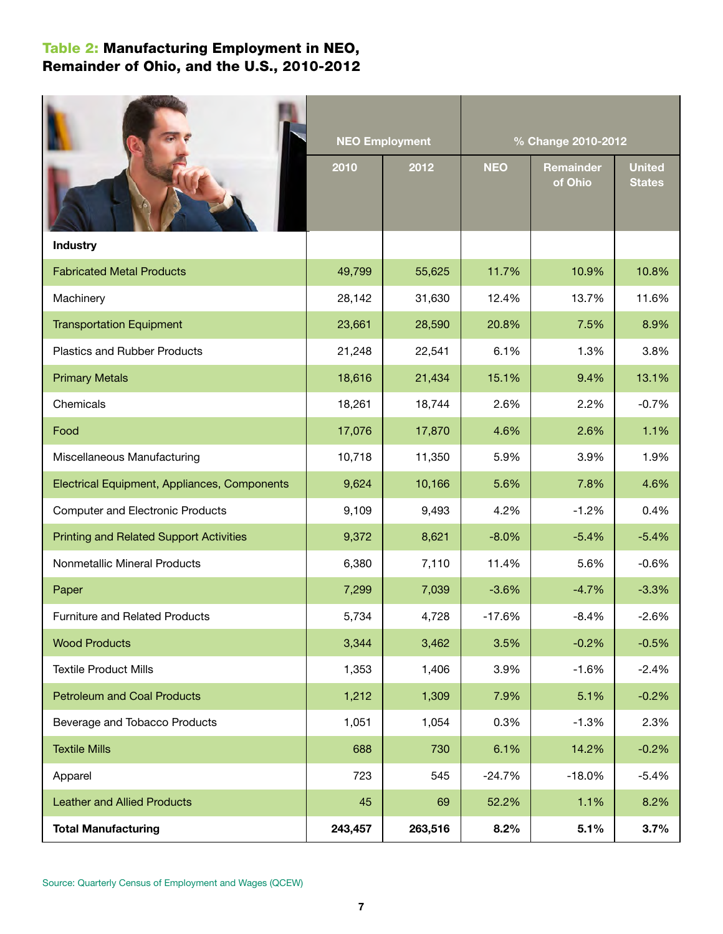# Table 2: Manufacturing Employment in NEO, Remainder of Ohio, and the U.S., 2010-2012

|                                                |         | <b>NEO Employment</b> | % Change 2010-2012 |                             |                                |  |  |  |  |
|------------------------------------------------|---------|-----------------------|--------------------|-----------------------------|--------------------------------|--|--|--|--|
|                                                | 2010    | 2012                  | <b>NEO</b>         | <b>Remainder</b><br>of Ohio | <b>United</b><br><b>States</b> |  |  |  |  |
| <b>Industry</b>                                |         |                       |                    |                             |                                |  |  |  |  |
| <b>Fabricated Metal Products</b>               | 49,799  | 55,625                | 11.7%              | 10.9%                       | 10.8%                          |  |  |  |  |
| Machinery                                      | 28,142  | 31,630                | 12.4%              | 13.7%                       | 11.6%                          |  |  |  |  |
| <b>Transportation Equipment</b>                | 23,661  | 28,590                | 20.8%              | 7.5%                        | 8.9%                           |  |  |  |  |
| <b>Plastics and Rubber Products</b>            | 21,248  | 22,541                | 6.1%               | 1.3%                        | 3.8%                           |  |  |  |  |
| <b>Primary Metals</b>                          | 18,616  | 21,434                | 15.1%              | 9.4%                        | 13.1%                          |  |  |  |  |
| Chemicals                                      | 18,261  | 18,744                | 2.6%               | 2.2%                        | $-0.7%$                        |  |  |  |  |
| Food                                           | 17,076  | 17,870                | 4.6%               | 2.6%                        | 1.1%                           |  |  |  |  |
| Miscellaneous Manufacturing                    | 10,718  | 11,350                | 5.9%               | 3.9%                        | 1.9%                           |  |  |  |  |
| Electrical Equipment, Appliances, Components   | 9,624   | 10,166                | 5.6%               | 7.8%                        | 4.6%                           |  |  |  |  |
| <b>Computer and Electronic Products</b>        | 9,109   | 9,493                 | 4.2%               | $-1.2%$                     | 0.4%                           |  |  |  |  |
| <b>Printing and Related Support Activities</b> | 9,372   | 8,621                 | $-8.0%$            | $-5.4%$                     | $-5.4%$                        |  |  |  |  |
| Nonmetallic Mineral Products                   | 6,380   | 7,110                 | 11.4%              | 5.6%                        | $-0.6%$                        |  |  |  |  |
| Paper                                          | 7,299   | 7,039                 | $-3.6%$            | $-4.7%$                     | $-3.3%$                        |  |  |  |  |
| <b>Furniture and Related Products</b>          | 5,734   | 4,728                 | $-17.6%$           | $-8.4%$                     | $-2.6%$                        |  |  |  |  |
| <b>Wood Products</b>                           | 3,344   | 3,462                 | 3.5%               | $-0.2%$                     | $-0.5%$                        |  |  |  |  |
| <b>Textile Product Mills</b>                   | 1,353   | 1,406                 | 3.9%               | $-1.6%$                     | $-2.4%$                        |  |  |  |  |
| <b>Petroleum and Coal Products</b>             | 1,212   | 1,309                 | 7.9%               | 5.1%                        | $-0.2%$                        |  |  |  |  |
| Beverage and Tobacco Products                  | 1,051   | 1,054                 | 0.3%               | $-1.3%$                     | 2.3%                           |  |  |  |  |
| <b>Textile Mills</b>                           | 688     | 730                   | 6.1%               | 14.2%                       | $-0.2%$                        |  |  |  |  |
| Apparel                                        | 723     | 545                   | $-24.7%$           | $-18.0%$                    | $-5.4%$                        |  |  |  |  |
| <b>Leather and Allied Products</b>             | 45      | 69                    | 52.2%              | 1.1%                        | 8.2%                           |  |  |  |  |
| <b>Total Manufacturing</b>                     | 243,457 | 263,516               | 8.2%               | 5.1%                        | 3.7%                           |  |  |  |  |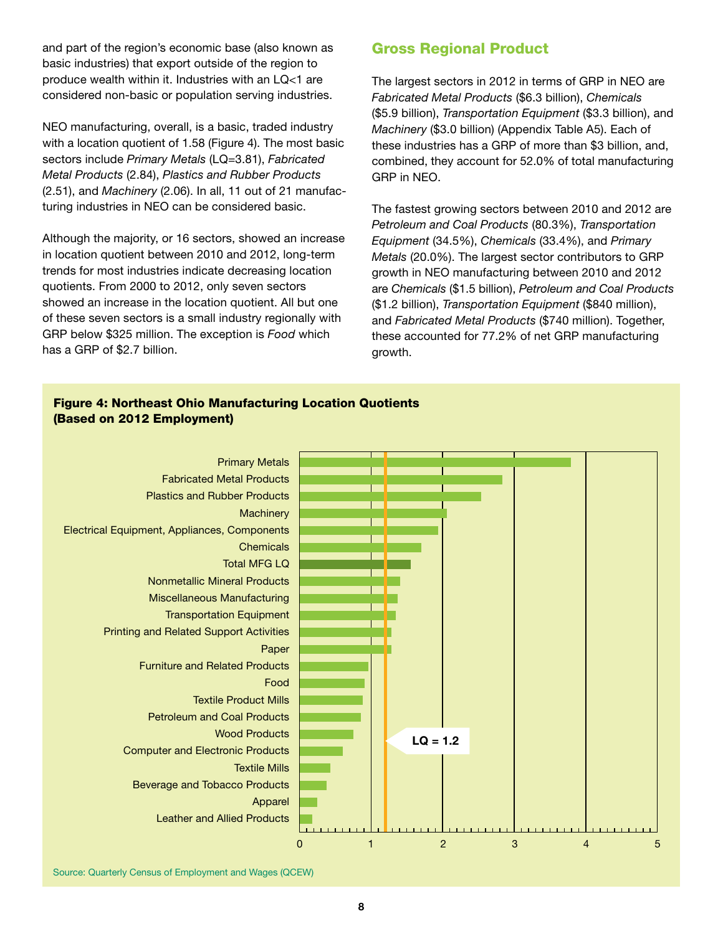and part of the region's economic base (also known as basic industries) that export outside of the region to produce wealth within it. Industries with an LQ<1 are considered non-basic or population serving industries.

NEO manufacturing, overall, is a basic, traded industry with a location quotient of 1.58 (Figure 4). The most basic sectors include *Primary Metals* (LQ=3.81), *Fabricated Metal Products* (2.84), *Plastics and Rubber Products* (2.51), and *Machinery* (2.06). In all, 11 out of 21 manufacturing industries in NEO can be considered basic.

Although the majority, or 16 sectors, showed an increase in location quotient between 2010 and 2012, long-term trends for most industries indicate decreasing location quotients. From 2000 to 2012, only seven sectors showed an increase in the location quotient. All but one of these seven sectors is a small industry regionally with GRP below \$325 million. The exception is *Food* which has a GRP of \$2.7 billion.

# Gross Regional Product

The largest sectors in 2012 in terms of GRP in NEO are *Fabricated Metal Products* (\$6.3 billion), *Chemicals* (\$5.9 billion), *Transportation Equipment* (\$3.3 billion), and *Machinery* (\$3.0 billion) (Appendix Table A5). Each of these industries has a GRP of more than \$3 billion, and, combined, they account for 52.0% of total manufacturing GRP in NEO.

The fastest growing sectors between 2010 and 2012 are *Petroleum and Coal Products* (80.3%), *Transportation Equipment* (34.5%), *Chemicals* (33.4%), and *Primary Metals* (20.0%). The largest sector contributors to GRP growth in NEO manufacturing between 2010 and 2012 are *Chemicals* (\$1.5 billion), *Petroleum and Coal Products* (\$1.2 billion), *Transportation Equipment* (\$840 million), and *Fabricated Metal Products* (\$740 million). Together, these accounted for 77.2% of net GRP manufacturing growth.

#### Figure 4: Northeast Ohio Manufacturing Location Quotients (Based on 2012 Employment)

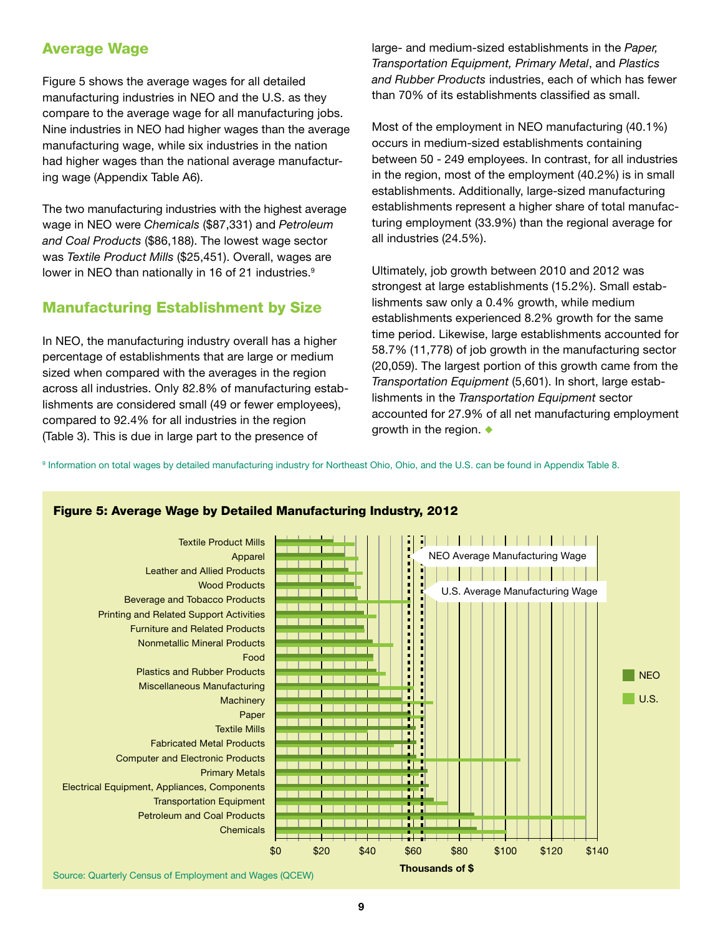# Average Wage

Figure 5 shows the average wages for all detailed manufacturing industries in NEO and the U.S. as they compare to the average wage for all manufacturing jobs. Nine industries in NEO had higher wages than the average manufacturing wage, while six industries in the nation had higher wages than the national average manufacturing wage (Appendix Table A6).

The two manufacturing industries with the highest average wage in NEO were *Chemicals* (\$87,331) and *Petroleum and Coal Products* (\$86,188). The lowest wage sector was *Textile Product Mills* (\$25,451). Overall, wages are lower in NEO than nationally in 16 of 21 industries.<sup>9</sup>

#### Manufacturing Establishment by Size

In NEO, the manufacturing industry overall has a higher percentage of establishments that are large or medium sized when compared with the averages in the region across all industries. Only 82.8% of manufacturing establishments are considered small (49 or fewer employees), compared to 92.4% for all industries in the region (Table 3). This is due in large part to the presence of

large- and medium-sized establishments in the *Paper, Transportation Equipment, Primary Metal*, and *Plastics and Rubber Products* industries, each of which has fewer than 70% of its establishments classified as small.

Most of the employment in NEO manufacturing (40.1%) occurs in medium-sized establishments containing between 50 - 249 employees. In contrast, for all industries in the region, most of the employment (40.2%) is in small establishments. Additionally, large-sized manufacturing establishments represent a higher share of total manufacturing employment (33.9%) than the regional average for all industries (24.5%).

Ultimately, job growth between 2010 and 2012 was strongest at large establishments (15.2%). Small establishments saw only a 0.4% growth, while medium establishments experienced 8.2% growth for the same time period. Likewise, large establishments accounted for 58.7% (11,778) of job growth in the manufacturing sector (20,059). The largest portion of this growth came from the *Transportation Equipment* (5,601). In short, large establishments in the *Transportation Equipment* sector accounted for 27.9% of all net manufacturing employment growth in the region.  $\bullet$ 

9 Information on total wages by detailed manufacturing industry for Northeast Ohio, Ohio, and the U.S. can be found in Appendix Table 8.



#### Figure 5: Average Wage by Detailed Manufacturing Industry, 2012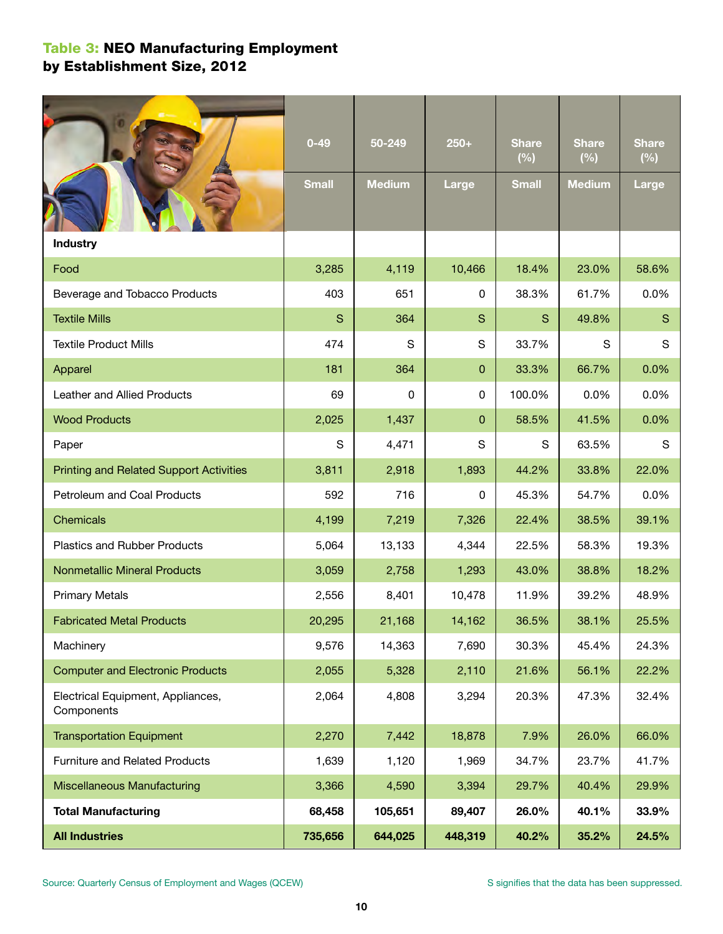# Table 3: NEO Manufacturing Employment by Establishment Size, 2012

|                                                 | $0 - 49$<br><b>Small</b> | 50-249<br><b>Medium</b> | $250+$<br><b>Large</b> | <b>Share</b><br>(%)<br><b>Small</b> | <b>Share</b><br>(%)<br><b>Medium</b> | <b>Share</b><br>(%)<br><b>Large</b> |
|-------------------------------------------------|--------------------------|-------------------------|------------------------|-------------------------------------|--------------------------------------|-------------------------------------|
|                                                 |                          |                         |                        |                                     |                                      |                                     |
| <b>Industry</b>                                 |                          |                         |                        |                                     |                                      |                                     |
| Food                                            | 3,285                    | 4,119                   | 10,466                 | 18.4%                               | 23.0%                                | 58.6%                               |
| Beverage and Tobacco Products                   | 403                      | 651                     | 0                      | 38.3%                               | 61.7%                                | 0.0%                                |
| <b>Textile Mills</b>                            | S                        | 364                     | S                      | S                                   | 49.8%                                | S                                   |
| <b>Textile Product Mills</b>                    | 474                      | S                       | S                      | 33.7%                               | S                                    | S                                   |
| Apparel                                         | 181                      | 364                     | 0                      | 33.3%                               | 66.7%                                | 0.0%                                |
| Leather and Allied Products                     | 69                       | 0                       | 0                      | 100.0%                              | 0.0%                                 | 0.0%                                |
| <b>Wood Products</b>                            | 2,025                    | 1,437                   | 0                      | 58.5%                               | 41.5%                                | 0.0%                                |
| Paper                                           | S                        | 4,471                   | S                      | S                                   | 63.5%                                | S                                   |
| <b>Printing and Related Support Activities</b>  | 3,811                    | 2,918                   | 1,893                  | 44.2%                               | 33.8%                                | 22.0%                               |
| Petroleum and Coal Products                     | 592                      | 716                     | 0                      | 45.3%                               | 54.7%                                | 0.0%                                |
| Chemicals                                       | 4,199                    | 7,219                   | 7,326                  | 22.4%                               | 38.5%                                | 39.1%                               |
| <b>Plastics and Rubber Products</b>             | 5,064                    | 13,133                  | 4,344                  | 22.5%                               | 58.3%                                | 19.3%                               |
| <b>Nonmetallic Mineral Products</b>             | 3,059                    | 2,758                   | 1,293                  | 43.0%                               | 38.8%                                | 18.2%                               |
| <b>Primary Metals</b>                           | 2,556                    | 8,401                   | 10,478                 | 11.9%                               | 39.2%                                | 48.9%                               |
| <b>Fabricated Metal Products</b>                | 20,295                   | 21,168                  | 14,162                 | 36.5%                               | 38.1%                                | 25.5%                               |
| Machinery                                       | 9,576                    | 14,363                  | 7,690                  | 30.3%                               | 45.4%                                | 24.3%                               |
| <b>Computer and Electronic Products</b>         | 2,055                    | 5,328                   | 2,110                  | 21.6%                               | 56.1%                                | 22.2%                               |
| Electrical Equipment, Appliances,<br>Components | 2,064                    | 4,808                   | 3,294                  | 20.3%                               | 47.3%                                | 32.4%                               |
| <b>Transportation Equipment</b>                 | 2,270                    | 7,442                   | 18,878                 | 7.9%                                | 26.0%                                | 66.0%                               |
| <b>Furniture and Related Products</b>           | 1,639                    | 1,120                   | 1,969                  | 34.7%                               | 23.7%                                | 41.7%                               |
| <b>Miscellaneous Manufacturing</b>              | 3,366                    | 4,590                   | 3,394                  | 29.7%                               | 40.4%                                | 29.9%                               |
| <b>Total Manufacturing</b>                      | 68,458                   | 105,651                 | 89,407                 | 26.0%                               | 40.1%                                | 33.9%                               |
| <b>All Industries</b>                           | 735,656                  | 644,025                 | 448,319                | 40.2%                               | 35.2%                                | 24.5%                               |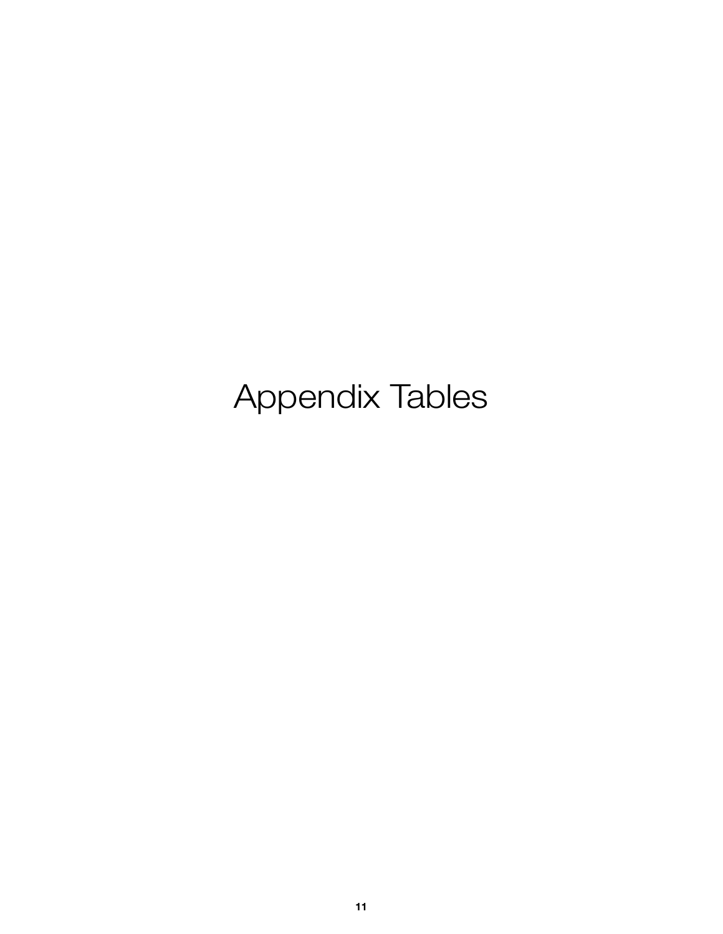# Appendix Tables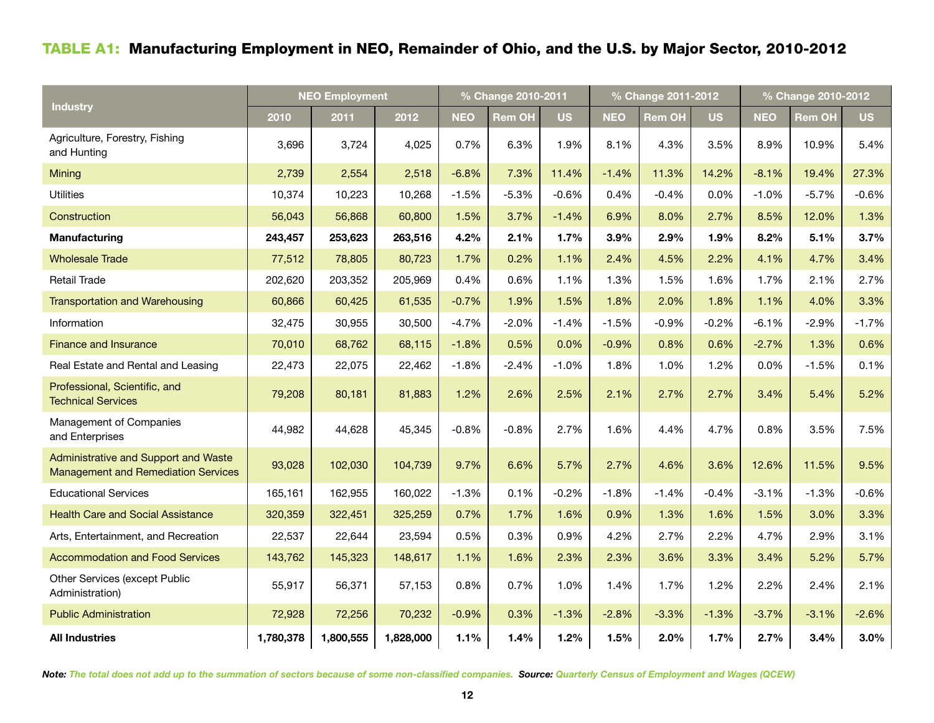# Table A1: Manufacturing Employment in NEO, Remainder of Ohio, and the U.S. by Major Sector, 2010-2012

|                                                                                           | <b>NEO Employment</b> |           |           |            | % Change 2010-2011 |           |            | % Change 2011-2012 |           | % Change 2010-2012 |         |           |  |
|-------------------------------------------------------------------------------------------|-----------------------|-----------|-----------|------------|--------------------|-----------|------------|--------------------|-----------|--------------------|---------|-----------|--|
| <b>Industry</b>                                                                           | 2010                  | 2011      | 2012      | <b>NEO</b> | <b>Rem OH</b>      | <b>US</b> | <b>NEO</b> | Rem OH             | <b>US</b> | <b>NEO</b>         | Rem OH  | <b>US</b> |  |
| Agriculture, Forestry, Fishing<br>and Hunting                                             | 3,696                 | 3,724     | 4,025     | 0.7%       | 6.3%               | 1.9%      | 8.1%       | 4.3%               | 3.5%      | 8.9%               | 10.9%   | 5.4%      |  |
| Mining                                                                                    | 2,739                 | 2,554     | 2,518     | $-6.8%$    | 7.3%               | 11.4%     | $-1.4%$    | 11.3%              | 14.2%     | $-8.1%$            | 19.4%   | 27.3%     |  |
| <b>Utilities</b>                                                                          | 10,374                | 10,223    | 10,268    | $-1.5%$    | $-5.3%$            | $-0.6%$   | 0.4%       | $-0.4%$            | 0.0%      | $-1.0%$            | $-5.7%$ | $-0.6%$   |  |
| Construction                                                                              | 56,043                | 56,868    | 60,800    | 1.5%       | 3.7%               | $-1.4%$   | 6.9%       | 8.0%               | 2.7%      | 8.5%               | 12.0%   | 1.3%      |  |
| Manufacturing                                                                             | 243,457               | 253,623   | 263,516   | 4.2%       | 2.1%               | 1.7%      | 3.9%       | 2.9%               | 1.9%      | 8.2%               | 5.1%    | 3.7%      |  |
| <b>Wholesale Trade</b>                                                                    | 77,512                | 78,805    | 80,723    | 1.7%       | 0.2%               | 1.1%      | 2.4%       | 4.5%               | 2.2%      | 4.1%               | 4.7%    | 3.4%      |  |
| <b>Retail Trade</b>                                                                       | 202,620               | 203,352   | 205,969   | 0.4%       | 0.6%               | 1.1%      | 1.3%       | 1.5%               | 1.6%      | 1.7%               | 2.1%    | 2.7%      |  |
| <b>Transportation and Warehousing</b>                                                     | 60,866                | 60,425    | 61,535    | $-0.7%$    | 1.9%               | 1.5%      | 1.8%       | 2.0%               | 1.8%      | 1.1%               | 4.0%    | 3.3%      |  |
| Information                                                                               | 32,475                | 30,955    | 30,500    | $-4.7%$    | $-2.0%$            | $-1.4%$   | $-1.5%$    | $-0.9%$            | $-0.2%$   | $-6.1%$            | $-2.9%$ | $-1.7%$   |  |
| <b>Finance and Insurance</b>                                                              | 70,010                | 68,762    | 68,115    | $-1.8%$    | 0.5%               | 0.0%      | $-0.9%$    | 0.8%               | 0.6%      | $-2.7%$            | 1.3%    | 0.6%      |  |
| Real Estate and Rental and Leasing                                                        | 22,473                | 22,075    | 22,462    | $-1.8%$    | $-2.4%$            | $-1.0%$   | 1.8%       | 1.0%               | 1.2%      | 0.0%               | $-1.5%$ | 0.1%      |  |
| Professional, Scientific, and<br><b>Technical Services</b>                                | 79,208                | 80,181    | 81,883    | 1.2%       | 2.6%               | 2.5%      | 2.1%       | 2.7%               | 2.7%      | 3.4%               | 5.4%    | 5.2%      |  |
| Management of Companies<br>and Enterprises                                                | 44,982                | 44,628    | 45,345    | $-0.8%$    | $-0.8%$            | 2.7%      | 1.6%       | 4.4%               | 4.7%      | 0.8%               | 3.5%    | 7.5%      |  |
| <b>Administrative and Support and Waste</b><br><b>Management and Remediation Services</b> | 93,028                | 102,030   | 104,739   | 9.7%       | 6.6%               | 5.7%      | 2.7%       | 4.6%               | 3.6%      | 12.6%              | 11.5%   | 9.5%      |  |
| <b>Educational Services</b>                                                               | 165,161               | 162,955   | 160,022   | $-1.3%$    | 0.1%               | $-0.2%$   | $-1.8%$    | $-1.4%$            | $-0.4%$   | $-3.1%$            | $-1.3%$ | $-0.6%$   |  |
| <b>Health Care and Social Assistance</b>                                                  | 320,359               | 322,451   | 325,259   | 0.7%       | 1.7%               | 1.6%      | 0.9%       | 1.3%               | 1.6%      | 1.5%               | 3.0%    | 3.3%      |  |
| Arts, Entertainment, and Recreation                                                       | 22,537                | 22,644    | 23,594    | 0.5%       | 0.3%               | 0.9%      | 4.2%       | 2.7%               | 2.2%      | 4.7%               | 2.9%    | 3.1%      |  |
| <b>Accommodation and Food Services</b>                                                    | 143,762               | 145,323   | 148,617   | 1.1%       | 1.6%               | 2.3%      | 2.3%       | 3.6%               | 3.3%      | 3.4%               | 5.2%    | 5.7%      |  |
| Other Services (except Public<br>Administration)                                          | 55,917                | 56,371    | 57,153    | 0.8%       | 0.7%               | 1.0%      | 1.4%       | 1.7%               | 1.2%      | 2.2%               | 2.4%    | 2.1%      |  |
| <b>Public Administration</b>                                                              | 72,928                | 72,256    | 70,232    | $-0.9%$    | 0.3%               | $-1.3%$   | $-2.8%$    | $-3.3%$            | $-1.3%$   | $-3.7%$            | $-3.1%$ | $-2.6%$   |  |
| <b>All Industries</b>                                                                     | 1,780,378             | 1,800,555 | 1,828,000 | 1.1%       | 1.4%               | 1.2%      | 1.5%       | 2.0%               | 1.7%      | 2.7%               | 3.4%    | 3.0%      |  |

*Note: The total does not add up to the summation of sectors because of some non-classified companies. Source: Quarterly Census of Employment and Wages (QCEW)*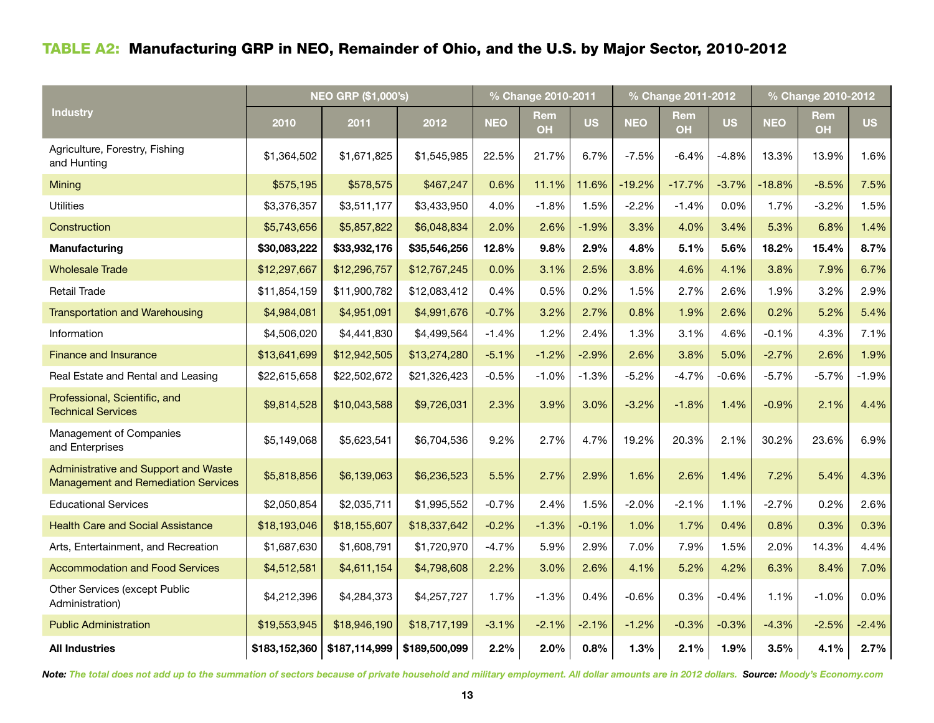# Table A2: Manufacturing GRP in NEO, Remainder of Ohio, and the U.S. by Major Sector, 2010-2012

|                                                                                    | <b>NEO GRP (\$1,000's)</b> |               |               |            | % Change 2010-2011 |           |            | % Change 2011-2012 |           | % Change 2010-2012 |                  |           |
|------------------------------------------------------------------------------------|----------------------------|---------------|---------------|------------|--------------------|-----------|------------|--------------------|-----------|--------------------|------------------|-----------|
| <b>Industry</b>                                                                    | 2010                       | 2011          | 2012          | <b>NEO</b> | Rem<br><b>OH</b>   | <b>US</b> | <b>NEO</b> | Rem<br><b>OH</b>   | <b>US</b> | <b>NEO</b>         | Rem<br><b>OH</b> | <b>US</b> |
| Agriculture, Forestry, Fishing<br>and Hunting                                      | \$1,364,502                | \$1,671,825   | \$1,545,985   | 22.5%      | 21.7%              | 6.7%      | $-7.5%$    | $-6.4%$            | $-4.8%$   | 13.3%              | 13.9%            | 1.6%      |
| Mining                                                                             | \$575,195                  | \$578,575     | \$467,247     | 0.6%       | 11.1%              | 11.6%     | $-19.2%$   | $-17.7%$           | $-3.7%$   | $-18.8%$           | $-8.5%$          | 7.5%      |
| <b>Utilities</b>                                                                   | \$3,376,357                | \$3,511,177   | \$3,433,950   | 4.0%       | $-1.8%$            | 1.5%      | $-2.2%$    | $-1.4%$            | $0.0\%$   | 1.7%               | $-3.2%$          | 1.5%      |
| Construction                                                                       | \$5,743,656                | \$5,857,822   | \$6,048,834   | 2.0%       | 2.6%               | $-1.9%$   | 3.3%       | 4.0%               | 3.4%      | 5.3%               | 6.8%             | 1.4%      |
| <b>Manufacturing</b>                                                               | \$30,083,222               | \$33,932,176  | \$35,546,256  | 12.8%      | 9.8%               | 2.9%      | 4.8%       | 5.1%               | 5.6%      | 18.2%              | 15.4%            | 8.7%      |
| <b>Wholesale Trade</b>                                                             | \$12,297,667               | \$12,296,757  | \$12,767,245  | 0.0%       | 3.1%               | 2.5%      | 3.8%       | 4.6%               | 4.1%      | 3.8%               | 7.9%             | 6.7%      |
| <b>Retail Trade</b>                                                                | \$11,854,159               | \$11,900,782  | \$12,083,412  | 0.4%       | 0.5%               | 0.2%      | 1.5%       | 2.7%               | 2.6%      | 1.9%               | 3.2%             | 2.9%      |
| <b>Transportation and Warehousing</b>                                              | \$4,984,081                | \$4,951,091   | \$4,991,676   | $-0.7%$    | 3.2%               | 2.7%      | 0.8%       | 1.9%               | 2.6%      | 0.2%               | 5.2%             | 5.4%      |
| Information                                                                        | \$4,506,020                | \$4,441,830   | \$4,499,564   | $-1.4%$    | 1.2%               | 2.4%      | 1.3%       | 3.1%               | 4.6%      | $-0.1%$            | 4.3%             | 7.1%      |
| <b>Finance and Insurance</b>                                                       | \$13,641,699               | \$12,942,505  | \$13,274,280  | $-5.1%$    | $-1.2%$            | $-2.9%$   | 2.6%       | 3.8%               | 5.0%      | $-2.7%$            | 2.6%             | 1.9%      |
| Real Estate and Rental and Leasing                                                 | \$22,615,658               | \$22,502,672  | \$21,326,423  | $-0.5%$    | $-1.0%$            | $-1.3%$   | $-5.2%$    | $-4.7%$            | -0.6%     | $-5.7%$            | $-5.7%$          | $-1.9%$   |
| Professional, Scientific, and<br><b>Technical Services</b>                         | \$9,814,528                | \$10,043,588  | \$9,726,031   | 2.3%       | 3.9%               | 3.0%      | $-3.2%$    | $-1.8%$            | 1.4%      | $-0.9%$            | 2.1%             | 4.4%      |
| Management of Companies<br>and Enterprises                                         | \$5,149,068                | \$5,623,541   | \$6,704,536   | 9.2%       | 2.7%               | 4.7%      | 19.2%      | 20.3%              | 2.1%      | 30.2%              | 23.6%            | 6.9%      |
| Administrative and Support and Waste<br><b>Management and Remediation Services</b> | \$5,818,856                | \$6,139,063   | \$6,236,523   | 5.5%       | 2.7%               | 2.9%      | 1.6%       | 2.6%               | 1.4%      | 7.2%               | 5.4%             | 4.3%      |
| <b>Educational Services</b>                                                        | \$2,050,854                | \$2,035,711   | \$1,995,552   | $-0.7%$    | 2.4%               | 1.5%      | $-2.0%$    | $-2.1%$            | 1.1%      | $-2.7%$            | 0.2%             | 2.6%      |
| <b>Health Care and Social Assistance</b>                                           | \$18,193,046               | \$18,155,607  | \$18,337,642  | $-0.2%$    | $-1.3%$            | $-0.1%$   | 1.0%       | 1.7%               | 0.4%      | 0.8%               | 0.3%             | 0.3%      |
| Arts, Entertainment, and Recreation                                                | \$1,687,630                | \$1,608,791   | \$1,720,970   | $-4.7%$    | 5.9%               | 2.9%      | 7.0%       | 7.9%               | 1.5%      | 2.0%               | 14.3%            | 4.4%      |
| <b>Accommodation and Food Services</b>                                             | \$4,512,581                | \$4,611,154   | \$4,798,608   | 2.2%       | 3.0%               | 2.6%      | 4.1%       | 5.2%               | 4.2%      | 6.3%               | 8.4%             | 7.0%      |
| Other Services (except Public<br>Administration)                                   | \$4,212,396                | \$4,284,373   | \$4,257,727   | 1.7%       | $-1.3%$            | 0.4%      | $-0.6%$    | 0.3%               | $-0.4%$   | 1.1%               | $-1.0%$          | 0.0%      |
| <b>Public Administration</b>                                                       | \$19,553,945               | \$18,946,190  | \$18,717,199  | $-3.1%$    | $-2.1%$            | $-2.1%$   | $-1.2%$    | $-0.3%$            | $-0.3%$   | $-4.3%$            | $-2.5%$          | $-2.4%$   |
| <b>All Industries</b>                                                              | \$183,152,360              | \$187,114,999 | \$189,500,099 | 2.2%       | 2.0%               | 0.8%      | 1.3%       | 2.1%               | 1.9%      | 3.5%               | 4.1%             | 2.7%      |

*Note: The total does not add up to the summation of sectors because of private household and military employment. All dollar amounts are in 2012 dollars. Source: Moody's Economy.com*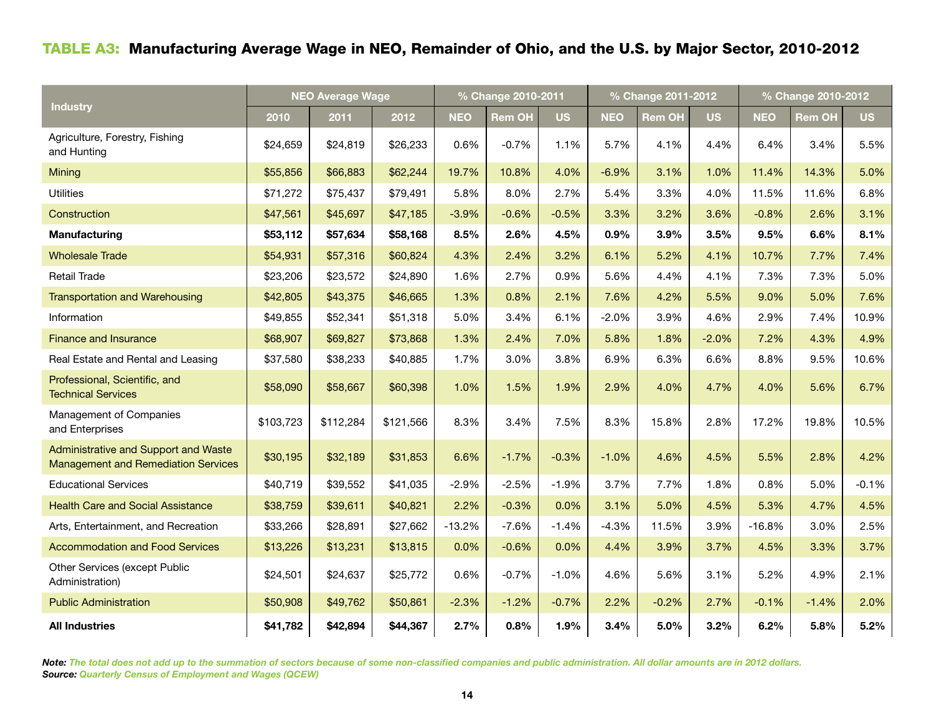# Table A3: Manufacturing Average Wage in NEO, Remainder of Ohio, and the U.S. by Major Sector, 2010-2012

|                                                                                    | <b>NEO Average Wage</b> |           |           |            | % Change 2010-2011 |           |            | % Change 2011-2012 |           | % Change 2010-2012 |               |           |  |
|------------------------------------------------------------------------------------|-------------------------|-----------|-----------|------------|--------------------|-----------|------------|--------------------|-----------|--------------------|---------------|-----------|--|
| <b>Industry</b>                                                                    | 2010                    | 2011      | 2012      | <b>NEO</b> | <b>Rem OH</b>      | <b>US</b> | <b>NEO</b> | Rem OH             | <b>US</b> | <b>NEO</b>         | <b>Rem OH</b> | <b>US</b> |  |
| Agriculture, Forestry, Fishing<br>and Hunting                                      | \$24,659                | \$24,819  | \$26,233  | 0.6%       | $-0.7%$            | 1.1%      | 5.7%       | 4.1%               | 4.4%      | 6.4%               | 3.4%          | 5.5%      |  |
| Mining                                                                             | \$55,856                | \$66,883  | \$62,244  | 19.7%      | 10.8%              | 4.0%      | $-6.9%$    | 3.1%               | 1.0%      | 11.4%              | 14.3%         | 5.0%      |  |
| <b>Utilities</b>                                                                   | \$71,272                | \$75,437  | \$79,491  | 5.8%       | 8.0%               | 2.7%      | 5.4%       | 3.3%               | 4.0%      | 11.5%              | 11.6%         | 6.8%      |  |
| Construction                                                                       | \$47,561                | \$45,697  | \$47,185  | $-3.9%$    | $-0.6%$            | $-0.5%$   | 3.3%       | 3.2%               | 3.6%      | $-0.8%$            | 2.6%          | 3.1%      |  |
| Manufacturing                                                                      | \$53,112                | \$57,634  | \$58,168  | 8.5%       | 2.6%               | 4.5%      | 0.9%       | 3.9%               | 3.5%      | 9.5%               | 6.6%          | 8.1%      |  |
| <b>Wholesale Trade</b>                                                             | \$54,931                | \$57,316  | \$60,824  | 4.3%       | 2.4%               | 3.2%      | 6.1%       | 5.2%               | 4.1%      | 10.7%              | 7.7%          | 7.4%      |  |
| Retail Trade                                                                       | \$23,206                | \$23,572  | \$24,890  | 1.6%       | 2.7%               | 0.9%      | 5.6%       | 4.4%               | 4.1%      | 7.3%               | 7.3%          | 5.0%      |  |
| <b>Transportation and Warehousing</b>                                              | \$42,805                | \$43,375  | \$46,665  | 1.3%       | 0.8%               | 2.1%      | 7.6%       | 4.2%               | 5.5%      | 9.0%               | 5.0%          | 7.6%      |  |
| Information                                                                        | \$49,855                | \$52,341  | \$51,318  | 5.0%       | 3.4%               | 6.1%      | $-2.0%$    | 3.9%               | 4.6%      | 2.9%               | 7.4%          | 10.9%     |  |
| <b>Finance and Insurance</b>                                                       | \$68,907                | \$69,827  | \$73,868  | 1.3%       | 2.4%               | 7.0%      | 5.8%       | 1.8%               | $-2.0%$   | 7.2%               | 4.3%          | 4.9%      |  |
| Real Estate and Rental and Leasing                                                 | \$37,580                | \$38,233  | \$40,885  | 1.7%       | 3.0%               | 3.8%      | 6.9%       | 6.3%               | 6.6%      | 8.8%               | 9.5%          | 10.6%     |  |
| Professional, Scientific, and<br><b>Technical Services</b>                         | \$58,090                | \$58,667  | \$60,398  | 1.0%       | 1.5%               | 1.9%      | 2.9%       | 4.0%               | 4.7%      | 4.0%               | 5.6%          | 6.7%      |  |
| Management of Companies<br>and Enterprises                                         | \$103,723               | \$112,284 | \$121,566 | 8.3%       | 3.4%               | 7.5%      | 8.3%       | 15.8%              | 2.8%      | 17.2%              | 19.8%         | 10.5%     |  |
| Administrative and Support and Waste<br><b>Management and Remediation Services</b> | \$30,195                | \$32,189  | \$31,853  | 6.6%       | $-1.7%$            | $-0.3%$   | $-1.0%$    | 4.6%               | 4.5%      | 5.5%               | 2.8%          | 4.2%      |  |
| <b>Educational Services</b>                                                        | \$40,719                | \$39,552  | \$41,035  | $-2.9%$    | $-2.5%$            | $-1.9%$   | 3.7%       | 7.7%               | 1.8%      | 0.8%               | 5.0%          | $-0.1%$   |  |
| <b>Health Care and Social Assistance</b>                                           | \$38,759                | \$39,611  | \$40,821  | 2.2%       | $-0.3%$            | 0.0%      | 3.1%       | 5.0%               | 4.5%      | 5.3%               | 4.7%          | 4.5%      |  |
| Arts, Entertainment, and Recreation                                                | \$33,266                | \$28,891  | \$27,662  | $-13.2%$   | $-7.6%$            | $-1.4%$   | $-4.3%$    | 11.5%              | 3.9%      | $-16.8%$           | 3.0%          | 2.5%      |  |
| <b>Accommodation and Food Services</b>                                             | \$13,226                | \$13,231  | \$13,815  | 0.0%       | $-0.6%$            | 0.0%      | 4.4%       | 3.9%               | 3.7%      | 4.5%               | 3.3%          | 3.7%      |  |
| Other Services (except Public<br>Administration)                                   | \$24,501                | \$24,637  | \$25,772  | 0.6%       | $-0.7%$            | $-1.0%$   | 4.6%       | 5.6%               | 3.1%      | 5.2%               | 4.9%          | 2.1%      |  |
| <b>Public Administration</b>                                                       | \$50,908                | \$49,762  | \$50,861  | $-2.3%$    | $-1.2%$            | $-0.7%$   | 2.2%       | $-0.2%$            | 2.7%      | $-0.1%$            | $-1.4%$       | 2.0%      |  |
| <b>All Industries</b>                                                              | \$41,782                | \$42,894  | \$44,367  | 2.7%       | 0.8%               | 1.9%      | 3.4%       | 5.0%               | 3.2%      | 6.2%               | 5.8%          | 5.2%      |  |

*Note: The total does not add up to the summation of sectors because of some non-classified companies and public administration. All dollar amounts are in 2012 dollars. Source: Quarterly Census of Employment and Wages (QCEW)*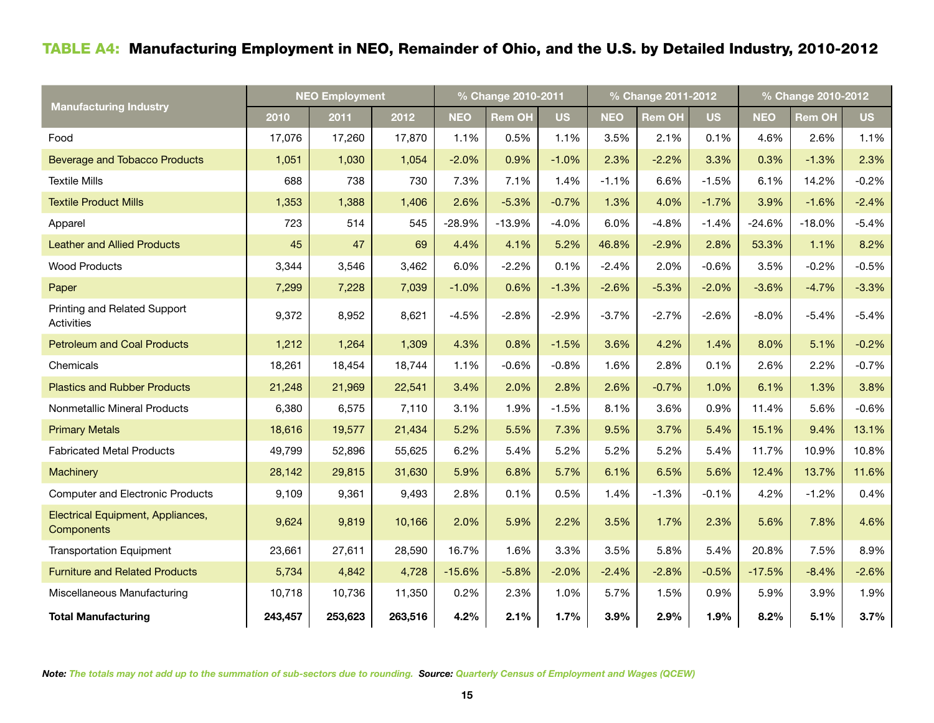# Table A4: Manufacturing Employment in NEO, Remainder of Ohio, and the U.S. by Detailed Industry, 2010-2012

|                                                 | <b>NEO Employment</b> |         |         |            | % Change 2010-2011 |           |            | % Change 2011-2012 |           | % Change 2010-2012 |               |           |  |
|-------------------------------------------------|-----------------------|---------|---------|------------|--------------------|-----------|------------|--------------------|-----------|--------------------|---------------|-----------|--|
| <b>Manufacturing Industry</b>                   | 2010                  | 2011    | 2012    | <b>NEO</b> | <b>Rem OH</b>      | <b>US</b> | <b>NEO</b> | <b>Rem OH</b>      | <b>US</b> | <b>NEO</b>         | <b>Rem OH</b> | <b>US</b> |  |
| Food                                            | 17,076                | 17,260  | 17,870  | 1.1%       | 0.5%               | 1.1%      | 3.5%       | 2.1%               | 0.1%      | 4.6%               | 2.6%          | 1.1%      |  |
| <b>Beverage and Tobacco Products</b>            | 1,051                 | 1,030   | 1,054   | $-2.0%$    | 0.9%               | $-1.0%$   | 2.3%       | $-2.2%$            | 3.3%      | 0.3%               | $-1.3%$       | 2.3%      |  |
| <b>Textile Mills</b>                            | 688                   | 738     | 730     | 7.3%       | 7.1%               | 1.4%      | $-1.1%$    | 6.6%               | $-1.5%$   | 6.1%               | 14.2%         | $-0.2%$   |  |
| <b>Textile Product Mills</b>                    | 1,353                 | 1,388   | 1,406   | 2.6%       | $-5.3%$            | $-0.7%$   | 1.3%       | 4.0%               | $-1.7%$   | 3.9%               | $-1.6%$       | $-2.4%$   |  |
| Apparel                                         | 723                   | 514     | 545     | $-28.9%$   | $-13.9%$           | $-4.0%$   | 6.0%       | $-4.8%$            | $-1.4%$   | $-24.6%$           | $-18.0%$      | $-5.4%$   |  |
| <b>Leather and Allied Products</b>              | 45                    | 47      | 69      | 4.4%       | 4.1%               | 5.2%      | 46.8%      | $-2.9%$            | 2.8%      | 53.3%              | 1.1%          | 8.2%      |  |
| <b>Wood Products</b>                            | 3,344                 | 3,546   | 3,462   | 6.0%       | $-2.2%$            | 0.1%      | $-2.4%$    | 2.0%               | $-0.6%$   | 3.5%               | $-0.2%$       | $-0.5%$   |  |
| Paper                                           | 7,299                 | 7,228   | 7,039   | $-1.0%$    | 0.6%               | $-1.3%$   | $-2.6%$    | $-5.3%$            | $-2.0%$   | $-3.6%$            | $-4.7%$       | $-3.3%$   |  |
| Printing and Related Support<br>Activities      | 9,372                 | 8,952   | 8,621   | $-4.5%$    | $-2.8%$            | $-2.9%$   | $-3.7%$    | $-2.7%$            | $-2.6%$   | $-8.0%$            | $-5.4%$       | $-5.4%$   |  |
| <b>Petroleum and Coal Products</b>              | 1,212                 | 1,264   | 1,309   | 4.3%       | 0.8%               | $-1.5%$   | 3.6%       | 4.2%               | 1.4%      | 8.0%               | 5.1%          | $-0.2%$   |  |
| Chemicals                                       | 18,261                | 18,454  | 18,744  | 1.1%       | $-0.6%$            | $-0.8%$   | 1.6%       | 2.8%               | 0.1%      | 2.6%               | 2.2%          | $-0.7%$   |  |
| <b>Plastics and Rubber Products</b>             | 21,248                | 21,969  | 22,541  | 3.4%       | 2.0%               | 2.8%      | 2.6%       | $-0.7%$            | 1.0%      | 6.1%               | 1.3%          | 3.8%      |  |
| Nonmetallic Mineral Products                    | 6,380                 | 6,575   | 7,110   | 3.1%       | 1.9%               | $-1.5%$   | 8.1%       | 3.6%               | 0.9%      | 11.4%              | 5.6%          | $-0.6%$   |  |
| <b>Primary Metals</b>                           | 18,616                | 19,577  | 21,434  | 5.2%       | 5.5%               | 7.3%      | 9.5%       | 3.7%               | 5.4%      | 15.1%              | 9.4%          | 13.1%     |  |
| <b>Fabricated Metal Products</b>                | 49,799                | 52,896  | 55,625  | 6.2%       | 5.4%               | 5.2%      | 5.2%       | 5.2%               | 5.4%      | 11.7%              | 10.9%         | 10.8%     |  |
| <b>Machinery</b>                                | 28,142                | 29,815  | 31,630  | 5.9%       | 6.8%               | 5.7%      | 6.1%       | 6.5%               | 5.6%      | 12.4%              | 13.7%         | 11.6%     |  |
| <b>Computer and Electronic Products</b>         | 9,109                 | 9,361   | 9,493   | 2.8%       | 0.1%               | 0.5%      | 1.4%       | $-1.3%$            | $-0.1%$   | 4.2%               | $-1.2%$       | 0.4%      |  |
| Electrical Equipment, Appliances,<br>Components | 9,624                 | 9,819   | 10,166  | 2.0%       | 5.9%               | 2.2%      | 3.5%       | 1.7%               | 2.3%      | 5.6%               | 7.8%          | 4.6%      |  |
| <b>Transportation Equipment</b>                 | 23,661                | 27,611  | 28,590  | 16.7%      | 1.6%               | 3.3%      | 3.5%       | 5.8%               | 5.4%      | 20.8%              | 7.5%          | 8.9%      |  |
| <b>Furniture and Related Products</b>           | 5,734                 | 4,842   | 4,728   | $-15.6%$   | $-5.8%$            | $-2.0%$   | $-2.4%$    | $-2.8%$            | $-0.5%$   | $-17.5%$           | $-8.4%$       | $-2.6%$   |  |
| Miscellaneous Manufacturing                     | 10,718                | 10,736  | 11,350  | 0.2%       | 2.3%               | 1.0%      | 5.7%       | 1.5%               | 0.9%      | 5.9%               | 3.9%          | 1.9%      |  |
| <b>Total Manufacturing</b>                      | 243,457               | 253,623 | 263,516 | 4.2%       | 2.1%               | 1.7%      | 3.9%       | 2.9%               | 1.9%      | 8.2%               | 5.1%          | 3.7%      |  |

*Note: The totals may not add up to the summation of sub-sectors due to rounding. Source: Quarterly Census of Employment and Wages (QCEW)*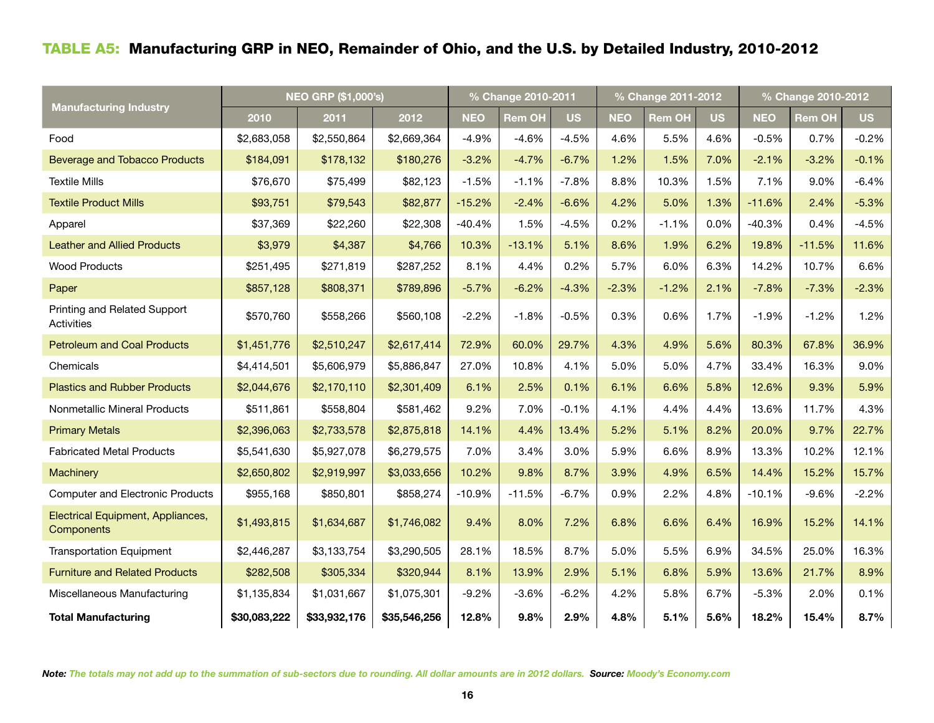# Table A5: Manufacturing GRP in NEO, Remainder of Ohio, and the U.S. by Detailed Industry, 2010-2012

|                                                 | <b>NEO GRP (\$1,000's)</b> |              |              |            | % Change 2010-2011 |           |            | % Change 2011-2012 |           | % Change 2010-2012 |               |           |  |
|-------------------------------------------------|----------------------------|--------------|--------------|------------|--------------------|-----------|------------|--------------------|-----------|--------------------|---------------|-----------|--|
| <b>Manufacturing Industry</b>                   | 2010                       | 2011         | 2012         | <b>NEO</b> | <b>Rem OH</b>      | <b>US</b> | <b>NEO</b> | <b>Rem OH</b>      | <b>US</b> | <b>NEO</b>         | <b>Rem OH</b> | <b>US</b> |  |
| Food                                            | \$2,683,058                | \$2,550,864  | \$2,669,364  | $-4.9%$    | $-4.6%$            | $-4.5%$   | 4.6%       | 5.5%               | 4.6%      | $-0.5%$            | 0.7%          | $-0.2%$   |  |
| <b>Beverage and Tobacco Products</b>            | \$184,091                  | \$178,132    | \$180,276    | $-3.2%$    | $-4.7%$            | $-6.7%$   | 1.2%       | 1.5%               | 7.0%      | $-2.1%$            | $-3.2%$       | $-0.1%$   |  |
| <b>Textile Mills</b>                            | \$76,670                   | \$75,499     | \$82,123     | $-1.5%$    | $-1.1%$            | $-7.8%$   | 8.8%       | 10.3%              | 1.5%      | 7.1%               | 9.0%          | $-6.4%$   |  |
| <b>Textile Product Mills</b>                    | \$93,751                   | \$79,543     | \$82,877     | $-15.2%$   | $-2.4%$            | $-6.6%$   | 4.2%       | 5.0%               | 1.3%      | $-11.6%$           | 2.4%          | $-5.3%$   |  |
| Apparel                                         | \$37,369                   | \$22,260     | \$22,308     | $-40.4%$   | 1.5%               | $-4.5%$   | 0.2%       | $-1.1%$            | 0.0%      | $-40.3%$           | 0.4%          | $-4.5%$   |  |
| <b>Leather and Allied Products</b>              | \$3,979                    | \$4,387      | \$4,766      | 10.3%      | $-13.1%$           | 5.1%      | 8.6%       | 1.9%               | 6.2%      | 19.8%              | $-11.5%$      | 11.6%     |  |
| <b>Wood Products</b>                            | \$251,495                  | \$271,819    | \$287,252    | 8.1%       | 4.4%               | 0.2%      | 5.7%       | 6.0%               | 6.3%      | 14.2%              | 10.7%         | 6.6%      |  |
| Paper                                           | \$857,128                  | \$808,371    | \$789,896    | $-5.7%$    | $-6.2%$            | $-4.3%$   | $-2.3%$    | $-1.2%$            | 2.1%      | $-7.8%$            | $-7.3%$       | $-2.3%$   |  |
| Printing and Related Support<br>Activities      | \$570,760                  | \$558,266    | \$560,108    | $-2.2%$    | $-1.8%$            | $-0.5%$   | 0.3%       | 0.6%               | 1.7%      | $-1.9%$            | $-1.2%$       | 1.2%      |  |
| <b>Petroleum and Coal Products</b>              | \$1,451,776                | \$2,510,247  | \$2,617,414  | 72.9%      | 60.0%              | 29.7%     | 4.3%       | 4.9%               | 5.6%      | 80.3%              | 67.8%         | 36.9%     |  |
| Chemicals                                       | \$4,414,501                | \$5,606,979  | \$5,886,847  | 27.0%      | 10.8%              | 4.1%      | 5.0%       | 5.0%               | 4.7%      | 33.4%              | 16.3%         | 9.0%      |  |
| <b>Plastics and Rubber Products</b>             | \$2,044,676                | \$2,170,110  | \$2,301,409  | 6.1%       | 2.5%               | 0.1%      | 6.1%       | 6.6%               | 5.8%      | 12.6%              | 9.3%          | 5.9%      |  |
| Nonmetallic Mineral Products                    | \$511,861                  | \$558,804    | \$581,462    | 9.2%       | 7.0%               | $-0.1%$   | 4.1%       | 4.4%               | 4.4%      | 13.6%              | 11.7%         | 4.3%      |  |
| <b>Primary Metals</b>                           | \$2,396,063                | \$2,733,578  | \$2,875,818  | 14.1%      | 4.4%               | 13.4%     | 5.2%       | 5.1%               | 8.2%      | 20.0%              | 9.7%          | 22.7%     |  |
| <b>Fabricated Metal Products</b>                | \$5,541,630                | \$5,927,078  | \$6,279,575  | 7.0%       | 3.4%               | 3.0%      | 5.9%       | 6.6%               | 8.9%      | 13.3%              | 10.2%         | 12.1%     |  |
| <b>Machinery</b>                                | \$2,650,802                | \$2,919,997  | \$3,033,656  | 10.2%      | 9.8%               | 8.7%      | 3.9%       | 4.9%               | 6.5%      | 14.4%              | 15.2%         | 15.7%     |  |
| <b>Computer and Electronic Products</b>         | \$955,168                  | \$850,801    | \$858,274    | $-10.9%$   | $-11.5%$           | $-6.7%$   | 0.9%       | 2.2%               | 4.8%      | $-10.1%$           | $-9.6%$       | $-2.2%$   |  |
| Electrical Equipment, Appliances,<br>Components | \$1,493,815                | \$1,634,687  | \$1,746,082  | 9.4%       | 8.0%               | 7.2%      | 6.8%       | 6.6%               | 6.4%      | 16.9%              | 15.2%         | 14.1%     |  |
| <b>Transportation Equipment</b>                 | \$2,446,287                | \$3,133,754  | \$3,290,505  | 28.1%      | 18.5%              | 8.7%      | 5.0%       | 5.5%               | 6.9%      | 34.5%              | 25.0%         | 16.3%     |  |
| <b>Furniture and Related Products</b>           | \$282,508                  | \$305,334    | \$320,944    | 8.1%       | 13.9%              | 2.9%      | 5.1%       | 6.8%               | 5.9%      | 13.6%              | 21.7%         | 8.9%      |  |
| Miscellaneous Manufacturing                     | \$1,135,834                | \$1,031,667  | \$1,075,301  | $-9.2%$    | $-3.6%$            | $-6.2%$   | 4.2%       | 5.8%               | 6.7%      | $-5.3%$            | 2.0%          | 0.1%      |  |
| <b>Total Manufacturing</b>                      | \$30,083,222               | \$33,932,176 | \$35,546,256 | 12.8%      | 9.8%               | 2.9%      | 4.8%       | 5.1%               | 5.6%      | 18.2%              | 15.4%         | 8.7%      |  |

*Note: The totals may not add up to the summation of sub-sectors due to rounding. All dollar amounts are in 2012 dollars. Source: Moody's Economy.com*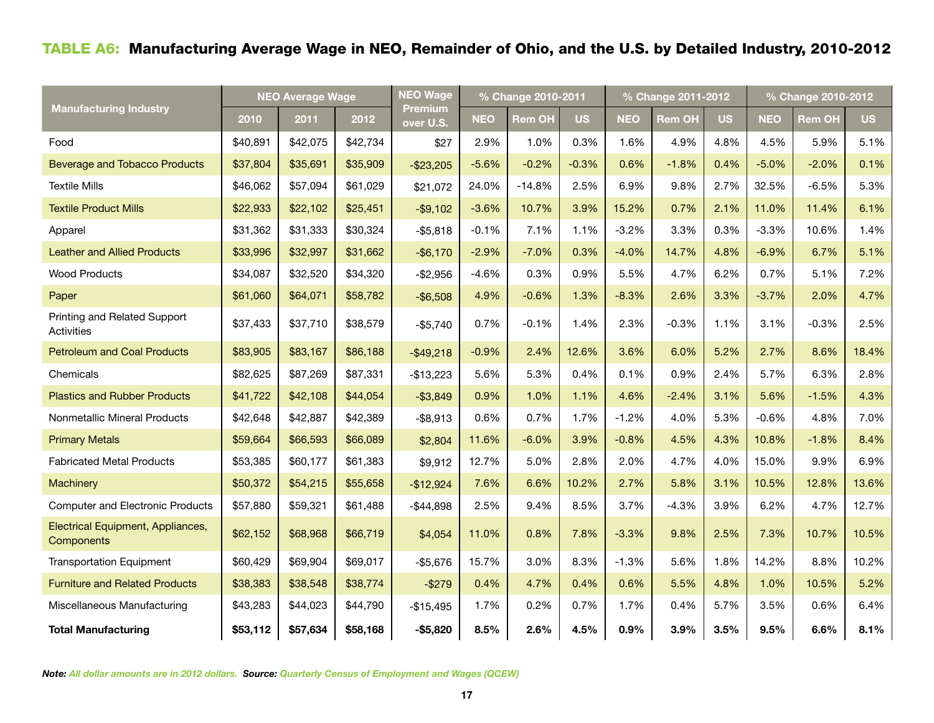# Table A6: Manufacturing Average Wage in NEO, Remainder of Ohio, and the U.S. by Detailed Industry, 2010-2012

|                                                 | <b>NEO Average Wage</b> |          |          | <b>NEO Wage</b>             |            | % Change 2010-2011 |           | % Change 2011-2012 |               |           |            | % Change 2010-2012 |           |  |  |
|-------------------------------------------------|-------------------------|----------|----------|-----------------------------|------------|--------------------|-----------|--------------------|---------------|-----------|------------|--------------------|-----------|--|--|
| Manufacturing Industry                          | 2010                    | 2011     | 2012     | <b>Premium</b><br>over U.S. | <b>NEO</b> | <b>Rem OH</b>      | <b>US</b> | <b>NEO</b>         | <b>Rem OH</b> | <b>US</b> | <b>NEO</b> | <b>Rem OH</b>      | <b>US</b> |  |  |
| Food                                            | \$40,891                | \$42,075 | \$42,734 | \$27                        | 2.9%       | 1.0%               | 0.3%      | 1.6%               | 4.9%          | 4.8%      | 4.5%       | 5.9%               | 5.1%      |  |  |
| <b>Beverage and Tobacco Products</b>            | \$37,804                | \$35,691 | \$35,909 | $-$23,205$                  | $-5.6%$    | $-0.2%$            | $-0.3%$   | 0.6%               | $-1.8%$       | 0.4%      | $-5.0%$    | $-2.0%$            | 0.1%      |  |  |
| <b>Textile Mills</b>                            | \$46,062                | \$57,094 | \$61,029 | \$21,072                    | 24.0%      | $-14.8%$           | 2.5%      | 6.9%               | 9.8%          | 2.7%      | 32.5%      | $-6.5%$            | 5.3%      |  |  |
| <b>Textile Product Mills</b>                    | \$22,933                | \$22,102 | \$25,451 | $-$9,102$                   | $-3.6%$    | 10.7%              | 3.9%      | 15.2%              | 0.7%          | 2.1%      | 11.0%      | 11.4%              | 6.1%      |  |  |
| Apparel                                         | \$31,362                | \$31,333 | \$30,324 | $- $5,818$                  | $-0.1%$    | 7.1%               | 1.1%      | $-3.2%$            | 3.3%          | 0.3%      | $-3.3%$    | 10.6%              | 1.4%      |  |  |
| <b>Leather and Allied Products</b>              | \$33,996                | \$32,997 | \$31,662 | $-$ \$6,170                 | $-2.9%$    | $-7.0%$            | 0.3%      | $-4.0%$            | 14.7%         | 4.8%      | $-6.9%$    | 6.7%               | 5.1%      |  |  |
| <b>Wood Products</b>                            | \$34,087                | \$32,520 | \$34,320 | $-$2,956$                   | $-4.6%$    | 0.3%               | 0.9%      | 5.5%               | 4.7%          | 6.2%      | 0.7%       | 5.1%               | 7.2%      |  |  |
| Paper                                           | \$61,060                | \$64,071 | \$58,782 | $-$ \$6,508                 | 4.9%       | $-0.6%$            | 1.3%      | $-8.3%$            | 2.6%          | 3.3%      | $-3.7%$    | 2.0%               | 4.7%      |  |  |
| Printing and Related Support<br>Activities      | \$37,433                | \$37,710 | \$38,579 | $-$5,740$                   | 0.7%       | $-0.1%$            | 1.4%      | 2.3%               | $-0.3%$       | 1.1%      | 3.1%       | $-0.3%$            | 2.5%      |  |  |
| <b>Petroleum and Coal Products</b>              | \$83,905                | \$83,167 | \$86,188 | $-$49,218$                  | $-0.9%$    | 2.4%               | 12.6%     | 3.6%               | 6.0%          | 5.2%      | 2.7%       | 8.6%               | 18.4%     |  |  |
| Chemicals                                       | \$82,625                | \$87,269 | \$87,331 | $-$13,223$                  | 5.6%       | 5.3%               | 0.4%      | 0.1%               | 0.9%          | 2.4%      | 5.7%       | 6.3%               | 2.8%      |  |  |
| <b>Plastics and Rubber Products</b>             | \$41,722                | \$42,108 | \$44,054 | $-$3,849$                   | 0.9%       | 1.0%               | 1.1%      | 4.6%               | $-2.4%$       | 3.1%      | 5.6%       | $-1.5%$            | 4.3%      |  |  |
| Nonmetallic Mineral Products                    | \$42,648                | \$42,887 | \$42,389 | $-$ \$8,913                 | 0.6%       | 0.7%               | 1.7%      | $-1.2%$            | 4.0%          | 5.3%      | $-0.6%$    | 4.8%               | 7.0%      |  |  |
| <b>Primary Metals</b>                           | \$59,664                | \$66,593 | \$66,089 | \$2,804                     | 11.6%      | $-6.0%$            | 3.9%      | $-0.8%$            | 4.5%          | 4.3%      | 10.8%      | $-1.8%$            | 8.4%      |  |  |
| <b>Fabricated Metal Products</b>                | \$53,385                | \$60,177 | \$61,383 | \$9,912                     | 12.7%      | 5.0%               | 2.8%      | 2.0%               | 4.7%          | 4.0%      | 15.0%      | 9.9%               | 6.9%      |  |  |
| Machinery                                       | \$50,372                | \$54,215 | \$55,658 | $-$12,924$                  | 7.6%       | 6.6%               | 10.2%     | 2.7%               | 5.8%          | 3.1%      | 10.5%      | 12.8%              | 13.6%     |  |  |
| <b>Computer and Electronic Products</b>         | \$57,880                | \$59,321 | \$61,488 | $-$44,898$                  | 2.5%       | 9.4%               | 8.5%      | 3.7%               | $-4.3%$       | 3.9%      | 6.2%       | 4.7%               | 12.7%     |  |  |
| Electrical Equipment, Appliances,<br>Components | \$62,152                | \$68,968 | \$66,719 | \$4,054                     | 11.0%      | 0.8%               | 7.8%      | $-3.3%$            | 9.8%          | 2.5%      | 7.3%       | 10.7%              | 10.5%     |  |  |
| <b>Transportation Equipment</b>                 | \$60,429                | \$69,904 | \$69,017 | $-$5,676$                   | 15.7%      | 3.0%               | 8.3%      | $-1.3%$            | 5.6%          | 1.8%      | 14.2%      | 8.8%               | 10.2%     |  |  |
| <b>Furniture and Related Products</b>           | \$38,383                | \$38,548 | \$38,774 | $-$279$                     | 0.4%       | 4.7%               | 0.4%      | 0.6%               | 5.5%          | 4.8%      | 1.0%       | 10.5%              | 5.2%      |  |  |
| Miscellaneous Manufacturing                     | \$43,283                | \$44,023 | \$44,790 | $-$15,495$                  | 1.7%       | 0.2%               | 0.7%      | 1.7%               | 0.4%          | 5.7%      | 3.5%       | 0.6%               | 6.4%      |  |  |
| <b>Total Manufacturing</b>                      | \$53,112                | \$57,634 | \$58,168 | $-$5,820$                   | 8.5%       | 2.6%               | 4.5%      | 0.9%               | 3.9%          | 3.5%      | 9.5%       | 6.6%               | 8.1%      |  |  |

*Note: All dollar amounts are in 2012 dollars. Source: Quarterly Census of Employment and Wages (QCEW)*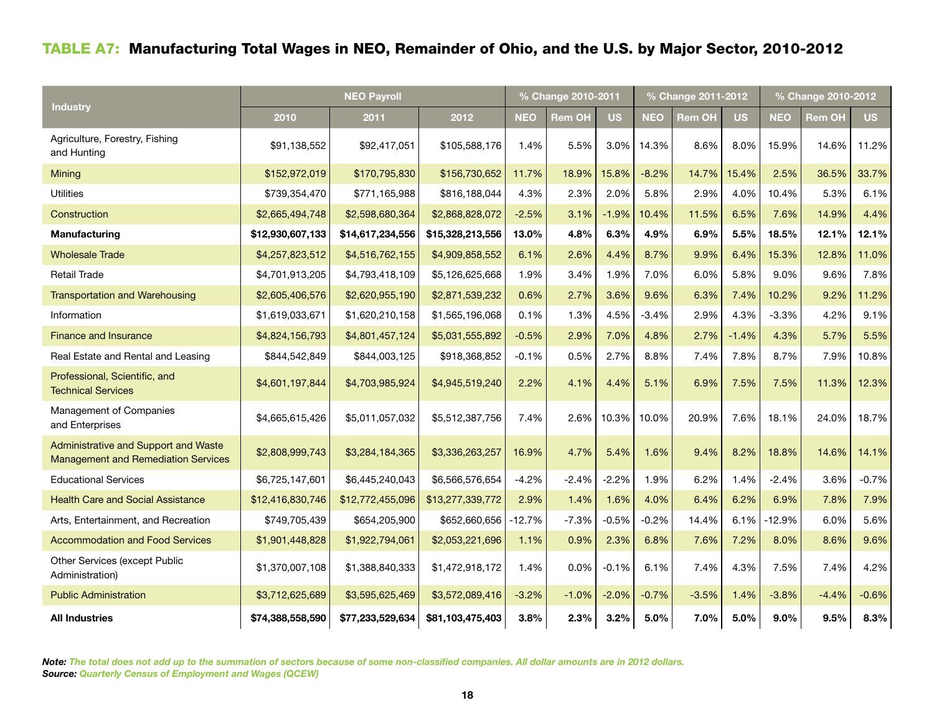# Table A7: Manufacturing Total Wages in NEO, Remainder of Ohio, and the U.S. by Major Sector, 2010-2012

|                                                                                    |                  |                  | % Change 2010-2011 |            |               | % Change 2011-2012 |            | % Change 2010-2012 |           |            |               |           |
|------------------------------------------------------------------------------------|------------------|------------------|--------------------|------------|---------------|--------------------|------------|--------------------|-----------|------------|---------------|-----------|
| Industry                                                                           | 2010             | 2011             | 2012               | <b>NEO</b> | <b>Rem OH</b> | <b>US</b>          | <b>NEO</b> | <b>Rem OH</b>      | <b>US</b> | <b>NEO</b> | <b>Rem OH</b> | <b>US</b> |
| Agriculture, Forestry, Fishing<br>and Hunting                                      | \$91,138,552     | \$92,417,051     | \$105,588,176      | 1.4%       | 5.5%          | 3.0%               | 14.3%      | 8.6%               | 8.0%      | 15.9%      | 14.6%         | 11.2%     |
| Mining                                                                             | \$152,972,019    | \$170,795,830    | \$156,730,652      | 11.7%      | 18.9%         | 15.8%              | $-8.2%$    | 14.7%              | 15.4%     | 2.5%       | 36.5%         | 33.7%     |
| <b>Utilities</b>                                                                   | \$739,354,470    | \$771,165,988    | \$816,188,044      | 4.3%       | 2.3%          | 2.0%               | 5.8%       | 2.9%               | 4.0%      | 10.4%      | 5.3%          | 6.1%      |
| Construction                                                                       | \$2,665,494,748  | \$2,598,680,364  | \$2,868,828,072    | $-2.5%$    | 3.1%          | $-1.9%$            | 10.4%      | 11.5%              | 6.5%      | 7.6%       | 14.9%         | 4.4%      |
| Manufacturing                                                                      | \$12,930,607,133 | \$14,617,234,556 | \$15,328,213,556   | 13.0%      | 4.8%          | 6.3%               | 4.9%       | 6.9%               | 5.5%      | 18.5%      | 12.1%         | 12.1%     |
| <b>Wholesale Trade</b>                                                             | \$4,257,823,512  | \$4,516,762,155  | \$4,909,858,552    | 6.1%       | 2.6%          | 4.4%               | 8.7%       | 9.9%               | 6.4%      | 15.3%      | 12.8%         | 11.0%     |
| <b>Retail Trade</b>                                                                | \$4,701,913,205  | \$4,793,418,109  | \$5,126,625,668    | 1.9%       | 3.4%          | 1.9%               | 7.0%       | 6.0%               | 5.8%      | 9.0%       | 9.6%          | 7.8%      |
| <b>Transportation and Warehousing</b>                                              | \$2,605,406,576  | \$2,620,955,190  | \$2,871,539,232    | 0.6%       | 2.7%          | 3.6%               | 9.6%       | 6.3%               | 7.4%      | 10.2%      | 9.2%          | 11.2%     |
| Information                                                                        | \$1,619,033,671  | \$1,620,210,158  | \$1,565,196,068    | 0.1%       | 1.3%          | 4.5%               | $-3.4%$    | 2.9%               | 4.3%      | $-3.3%$    | 4.2%          | 9.1%      |
| <b>Finance and Insurance</b>                                                       | \$4,824,156,793  | \$4,801,457,124  | \$5,031,555,892    | $-0.5%$    | 2.9%          | 7.0%               | 4.8%       | 2.7%               | $-1.4%$   | 4.3%       | 5.7%          | 5.5%      |
| Real Estate and Rental and Leasing                                                 | \$844,542,849    | \$844,003,125    | \$918,368,852      | $-0.1%$    | 0.5%          | 2.7%               | 8.8%       | 7.4%               | 7.8%      | 8.7%       | 7.9%          | 10.8%     |
| Professional, Scientific, and<br><b>Technical Services</b>                         | \$4,601,197,844  | \$4,703,985,924  | \$4,945,519,240    | 2.2%       | 4.1%          | 4.4%               | 5.1%       | 6.9%               | 7.5%      | 7.5%       | 11.3%         | 12.3%     |
| Management of Companies<br>and Enterprises                                         | \$4,665,615,426  | \$5,011,057,032  | \$5,512,387,756    | 7.4%       | 2.6%          | 10.3%              | 10.0%      | 20.9%              | 7.6%      | 18.1%      | 24.0%         | 18.7%     |
| Administrative and Support and Waste<br><b>Management and Remediation Services</b> | \$2,808,999,743  | \$3,284,184,365  | \$3,336,263,257    | 16.9%      | 4.7%          | 5.4%               | 1.6%       | 9.4%               | 8.2%      | 18.8%      | 14.6%         | 14.1%     |
| <b>Educational Services</b>                                                        | \$6,725,147,601  | \$6,445,240,043  | \$6,566,576,654    | $-4.2%$    | $-2.4%$       | $-2.2%$            | 1.9%       | 6.2%               | 1.4%      | $-2.4%$    | 3.6%          | $-0.7%$   |
| <b>Health Care and Social Assistance</b>                                           | \$12,416,830,746 | \$12,772,455,096 | \$13,277,339,772   | 2.9%       | 1.4%          | 1.6%               | 4.0%       | 6.4%               | 6.2%      | 6.9%       | 7.8%          | 7.9%      |
| Arts, Entertainment, and Recreation                                                | \$749,705,439    | \$654,205,900    | \$652,660,656      | -12.7%     | $-7.3%$       | $-0.5%$            | $-0.2%$    | 14.4%              | 6.1%      | $-12.9%$   | 6.0%          | 5.6%      |
| <b>Accommodation and Food Services</b>                                             | \$1,901,448,828  | \$1,922,794,061  | \$2,053,221,696    | 1.1%       | 0.9%          | 2.3%               | 6.8%       | 7.6%               | 7.2%      | 8.0%       | 8.6%          | 9.6%      |
| Other Services (except Public<br>Administration)                                   | \$1,370,007,108  | \$1,388,840,333  | \$1,472,918,172    | 1.4%       | 0.0%          | $-0.1%$            | 6.1%       | 7.4%               | 4.3%      | 7.5%       | 7.4%          | 4.2%      |
| <b>Public Administration</b>                                                       | \$3,712,625,689  | \$3,595,625,469  | \$3,572,089,416    | $-3.2%$    | $-1.0%$       | $-2.0%$            | $-0.7%$    | $-3.5%$            | 1.4%      | $-3.8%$    | $-4.4%$       | $-0.6%$   |
| <b>All Industries</b>                                                              | \$74,388,558,590 | \$77,233,529,634 | \$81,103,475,403   | 3.8%       | 2.3%          | 3.2%               | 5.0%       | 7.0%               | 5.0%      | $9.0\%$    | 9.5%          | 8.3%      |

*Note: The total does not add up to the summation of sectors because of some non-classified companies. All dollar amounts are in 2012 dollars. Source: Quarterly Census of Employment and Wages (QCEW)*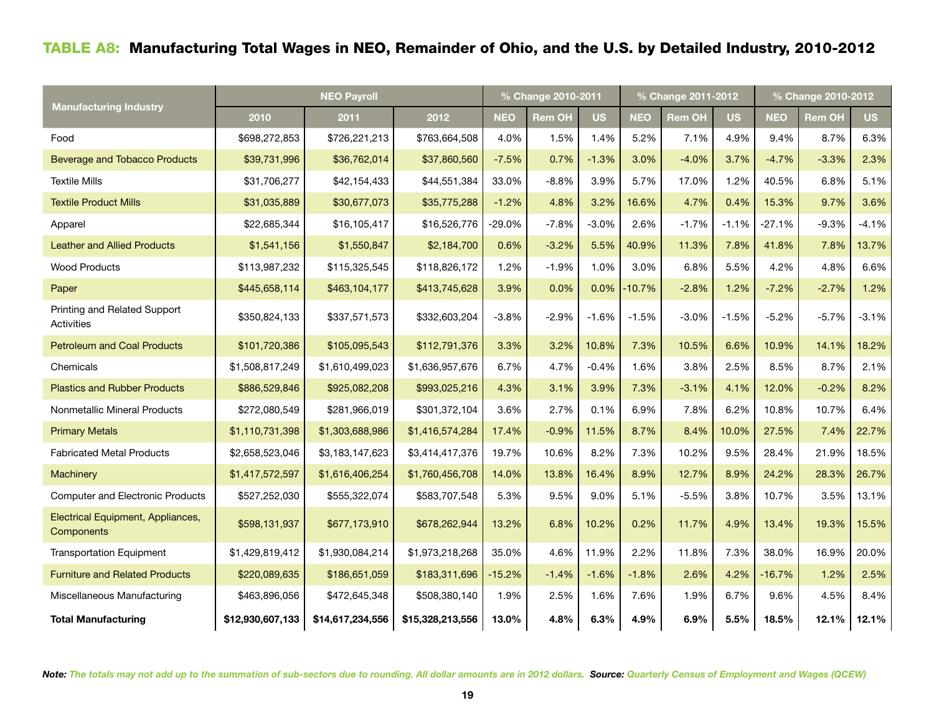# Table A8: Manufacturing Total Wages in NEO, Remainder of Ohio, and the U.S. by Detailed Industry, 2010-2012

|                                                 |                  |                  | % Change 2010-2011 |            |               | % Change 2011-2012 |            | % Change 2010-2012 |           |            |         |           |
|-------------------------------------------------|------------------|------------------|--------------------|------------|---------------|--------------------|------------|--------------------|-----------|------------|---------|-----------|
| <b>Manufacturing Industry</b>                   | 2010             | 2011             | 2012               | <b>NEO</b> | <b>Rem OH</b> | <b>US</b>          | <b>NEO</b> | <b>Rem OH</b>      | <b>US</b> | <b>NEO</b> | Rem OH  | <b>US</b> |
| Food                                            | \$698,272,853    | \$726,221,213    | \$763,664,508      | 4.0%       | 1.5%          | 1.4%               | 5.2%       | 7.1%               | 4.9%      | 9.4%       | 8.7%    | 6.3%      |
| <b>Beverage and Tobacco Products</b>            | \$39,731,996     | \$36,762,014     | \$37,860,560       | $-7.5%$    | 0.7%          | $-1.3%$            | 3.0%       | $-4.0%$            | 3.7%      | $-4.7%$    | $-3.3%$ | 2.3%      |
| <b>Textile Mills</b>                            | \$31,706,277     | \$42,154,433     | \$44,551,384       | 33.0%      | $-8.8%$       | 3.9%               | 5.7%       | 17.0%              | 1.2%      | 40.5%      | 6.8%    | 5.1%      |
| <b>Textile Product Mills</b>                    | \$31,035,889     | \$30,677,073     | \$35,775,288       | $-1.2%$    | 4.8%          | 3.2%               | 16.6%      | 4.7%               | 0.4%      | 15.3%      | 9.7%    | 3.6%      |
| Apparel                                         | \$22,685,344     | \$16,105,417     | \$16,526,776       | $-29.0\%$  | $-7.8%$       | $-3.0%$            | 2.6%       | $-1.7%$            | $-1.1%$   | $-27.1%$   | $-9.3%$ | $-4.1%$   |
| <b>Leather and Allied Products</b>              | \$1,541,156      | \$1,550,847      | \$2,184,700        | 0.6%       | $-3.2%$       | 5.5%               | 40.9%      | 11.3%              | 7.8%      | 41.8%      | 7.8%    | 13.7%     |
| <b>Wood Products</b>                            | \$113,987,232    | \$115,325,545    | \$118,826,172      | 1.2%       | $-1.9%$       | 1.0%               | 3.0%       | 6.8%               | 5.5%      | 4.2%       | 4.8%    | 6.6%      |
| Paper                                           | \$445,658,114    | \$463,104,177    | \$413,745,628      | 3.9%       | 0.0%          | 0.0%               | $-10.7%$   | $-2.8%$            | 1.2%      | $-7.2%$    | $-2.7%$ | 1.2%      |
| Printing and Related Support<br>Activities      | \$350,824,133    | \$337,571,573    | \$332,603,204      | $-3.8%$    | $-2.9%$       | $-1.6%$            | $-1.5%$    | $-3.0%$            | $-1.5%$   | $-5.2%$    | $-5.7%$ | $-3.1%$   |
| <b>Petroleum and Coal Products</b>              | \$101,720,386    | \$105,095,543    | \$112,791,376      | 3.3%       | 3.2%          | 10.8%              | 7.3%       | 10.5%              | 6.6%      | 10.9%      | 14.1%   | 18.2%     |
| Chemicals                                       | \$1,508,817,249  | \$1,610,499,023  | \$1,636,957,676    | 6.7%       | 4.7%          | $-0.4%$            | 1.6%       | 3.8%               | 2.5%      | 8.5%       | 8.7%    | 2.1%      |
| <b>Plastics and Rubber Products</b>             | \$886,529,846    | \$925,082,208    | \$993,025,216      | 4.3%       | 3.1%          | 3.9%               | 7.3%       | $-3.1%$            | 4.1%      | 12.0%      | $-0.2%$ | 8.2%      |
| Nonmetallic Mineral Products                    | \$272,080,549    | \$281,966,019    | \$301,372,104      | 3.6%       | 2.7%          | 0.1%               | 6.9%       | 7.8%               | 6.2%      | 10.8%      | 10.7%   | 6.4%      |
| <b>Primary Metals</b>                           | \$1,110,731,398  | \$1,303,688,986  | \$1,416,574,284    | 17.4%      | $-0.9%$       | 11.5%              | 8.7%       | 8.4%               | 10.0%     | 27.5%      | 7.4%    | 22.7%     |
| <b>Fabricated Metal Products</b>                | \$2,658,523,046  | \$3,183,147,623  | \$3,414,417,376    | 19.7%      | 10.6%         | 8.2%               | 7.3%       | 10.2%              | 9.5%      | 28.4%      | 21.9%   | 18.5%     |
| Machinery                                       | \$1,417,572,597  | \$1,616,406,254  | \$1,760,456,708    | 14.0%      | 13.8%         | 16.4%              | 8.9%       | 12.7%              | 8.9%      | 24.2%      | 28.3%   | 26.7%     |
| <b>Computer and Electronic Products</b>         | \$527,252,030    | \$555,322,074    | \$583,707,548      | 5.3%       | 9.5%          | 9.0%               | 5.1%       | $-5.5%$            | 3.8%      | 10.7%      | 3.5%    | 13.1%     |
| Electrical Equipment, Appliances,<br>Components | \$598,131,937    | \$677,173,910    | \$678,262,944      | 13.2%      | 6.8%          | 10.2%              | 0.2%       | 11.7%              | 4.9%      | 13.4%      | 19.3%   | 15.5%     |
| <b>Transportation Equipment</b>                 | \$1,429,819,412  | \$1,930,084,214  | \$1,973,218,268    | 35.0%      | 4.6%          | 11.9%              | 2.2%       | 11.8%              | 7.3%      | 38.0%      | 16.9%   | 20.0%     |
| <b>Furniture and Related Products</b>           | \$220,089,635    | \$186,651,059    | \$183,311,696      | $-15.2%$   | $-1.4%$       | $-1.6%$            | $-1.8%$    | 2.6%               | 4.2%      | $-16.7%$   | 1.2%    | 2.5%      |
| Miscellaneous Manufacturing                     | \$463,896,056    | \$472,645,348    | \$508,380,140      | 1.9%       | 2.5%          | 1.6%               | 7.6%       | 1.9%               | 6.7%      | 9.6%       | 4.5%    | 8.4%      |
| <b>Total Manufacturing</b>                      | \$12,930,607,133 | \$14,617,234,556 | \$15,328,213,556   | 13.0%      | 4.8%          | 6.3%               | 4.9%       | 6.9%               | 5.5%      | 18.5%      | 12.1%   | 12.1%     |

*Note: The totals may not add up to the summation of sub-sectors due to rounding. All dollar amounts are in 2012 dollars. Source: Quarterly Census of Employment and Wages (QCEW)*